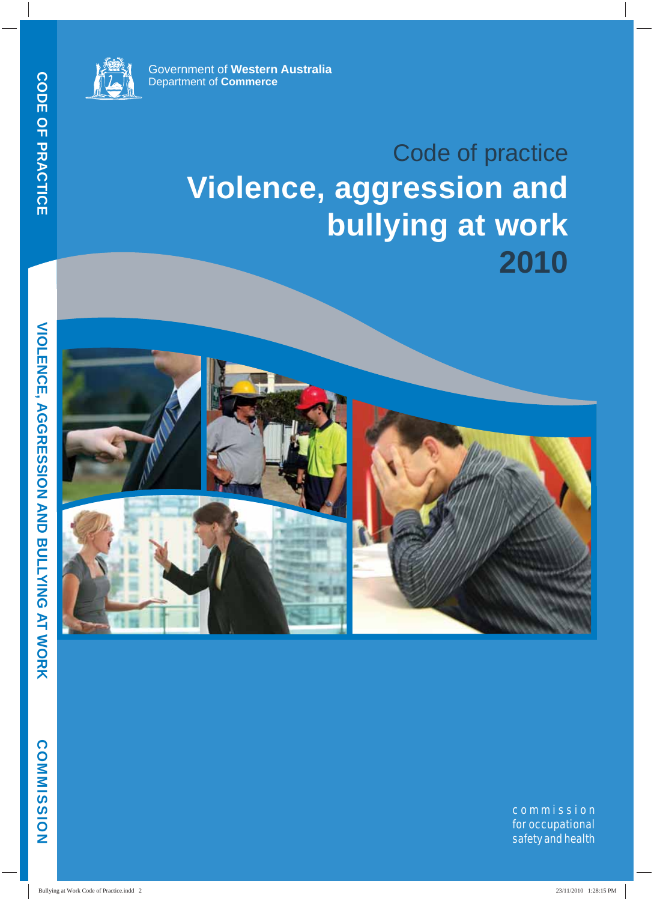

Government of **Western Australia** Department of **Commerce**

## Code of practice **Violence, aggression and bullying at work 2010**



**COMMISSION**

COMMISSION

**VIOLENCE, AGGRESSION AND BULLYING AT WORK**

**VIOLENCE, AGGRESSION AND BULLYING AT WORK** 

commission for occupational safety and health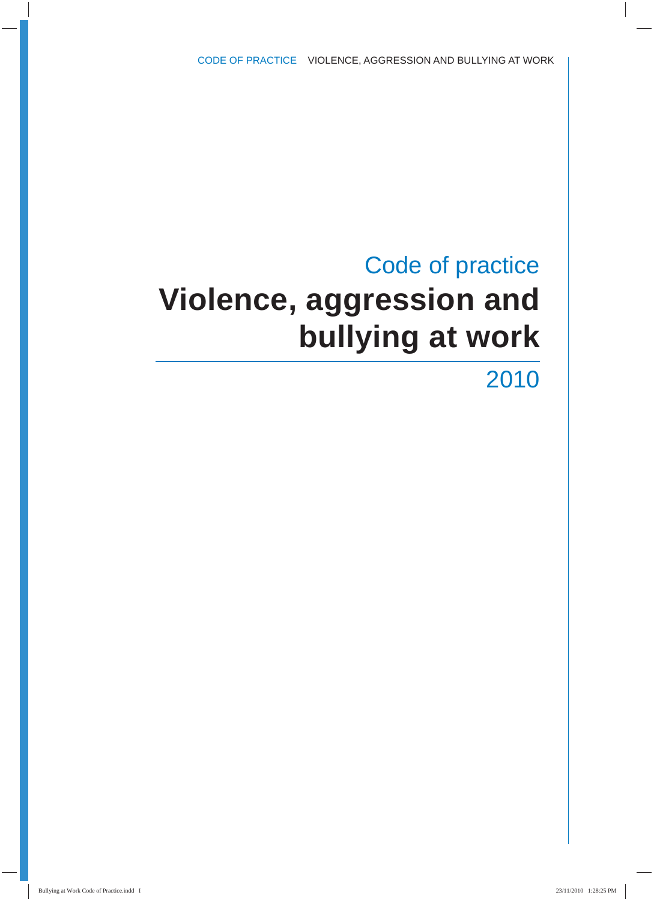## Code of practice **Violence, aggression and bullying at work**

2010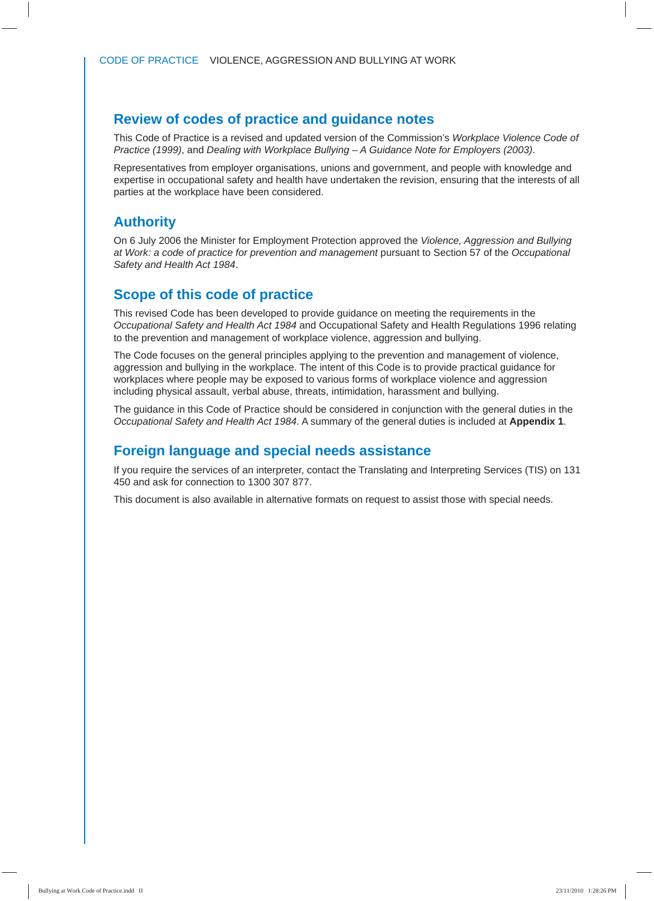#### **Review of codes of practice and guidance notes**

This Code of Practice is a revised and updated version of the Commission's *Workplace Violence Code of Practice (1999)*, and *Dealing with Workplace Bullying – A Guidance Note for Employers (2003)*.

Representatives from employer organisations, unions and government, and people with knowledge and expertise in occupational safety and health have undertaken the revision, ensuring that the interests of all parties at the workplace have been considered.

#### **Authority**

On 6 July 2006 the Minister for Employment Protection approved the *Violence, Aggression and Bullying at Work: a code of practice for prevention and management* pursuant to Section 57 of the *Occupational Safety and Health Act 1984*.

#### **Scope of this code of practice**

This revised Code has been developed to provide guidance on meeting the requirements in the *Occupational Safety and Health Act 1984* and Occupational Safety and Health Regulations 1996 relating to the prevention and management of workplace violence, aggression and bullying.

The Code focuses on the general principles applying to the prevention and management of violence, aggression and bullying in the workplace. The intent of this Code is to provide practical guidance for workplaces where people may be exposed to various forms of workplace violence and aggression including physical assault, verbal abuse, threats, intimidation, harassment and bullying.

The guidance in this Code of Practice should be considered in conjunction with the general duties in the *Occupational Safety and Health Act 1984*. A summary of the general duties is included at **Appendix 1**.

#### **Foreign language and special needs assistance**

If you require the services of an interpreter, contact the Translating and Interpreting Services (TIS) on 131 450 and ask for connection to 1300 307 877.

This document is also available in alternative formats on request to assist those with special needs.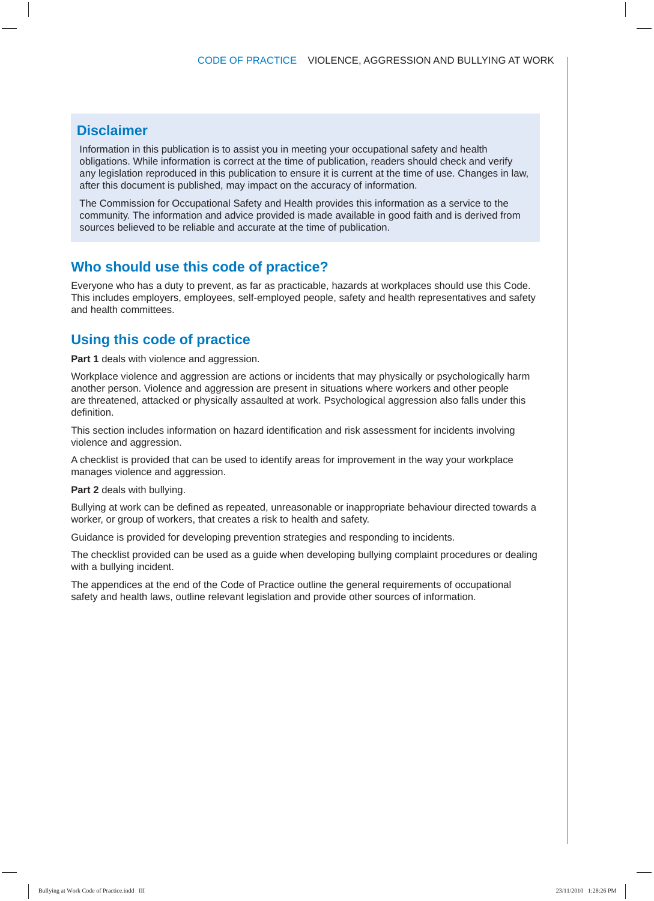#### **Disclaimer**

Information in this publication is to assist you in meeting your occupational safety and health obligations. While information is correct at the time of publication, readers should check and verify any legislation reproduced in this publication to ensure it is current at the time of use. Changes in law, after this document is published, may impact on the accuracy of information.

The Commission for Occupational Safety and Health provides this information as a service to the community. The information and advice provided is made available in good faith and is derived from sources believed to be reliable and accurate at the time of publication.

#### **Who should use this code of practice?**

Everyone who has a duty to prevent, as far as practicable, hazards at workplaces should use this Code. This includes employers, employees, self-employed people, safety and health representatives and safety and health committees.

#### **Using this code of practice**

**Part 1** deals with violence and aggression.

Workplace violence and aggression are actions or incidents that may physically or psychologically harm another person. Violence and aggression are present in situations where workers and other people are threatened, attacked or physically assaulted at work. Psychological aggression also falls under this definition

This section includes information on hazard identification and risk assessment for incidents involving violence and aggression.

A checklist is provided that can be used to identify areas for improvement in the way your workplace manages violence and aggression.

**Part 2** deals with bullying.

Bullying at work can be defined as repeated, unreasonable or inappropriate behaviour directed towards a worker, or group of workers, that creates a risk to health and safety.

Guidance is provided for developing prevention strategies and responding to incidents.

The checklist provided can be used as a guide when developing bullying complaint procedures or dealing with a bullying incident.

The appendices at the end of the Code of Practice outline the general requirements of occupational safety and health laws, outline relevant legislation and provide other sources of information.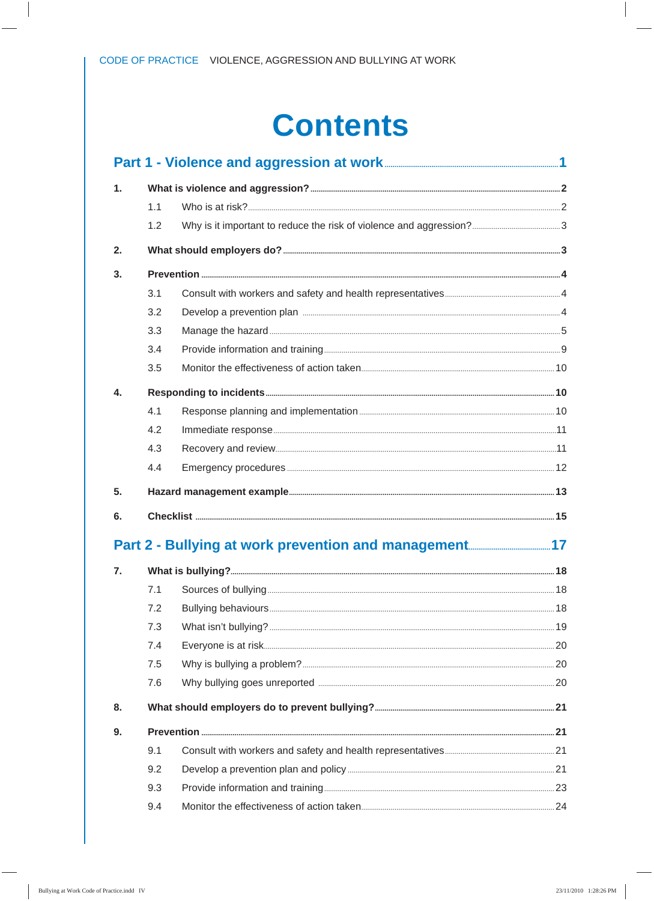## **Contents**

| 1. |     |  |
|----|-----|--|
|    | 1.1 |  |
|    | 1.2 |  |
| 2. |     |  |
| 3. |     |  |
|    | 3.1 |  |
|    | 3.2 |  |
|    | 3.3 |  |
|    | 3.4 |  |
|    | 3.5 |  |
| 4. |     |  |
|    | 4.1 |  |
|    | 4.2 |  |
|    | 4.3 |  |
|    | 4.4 |  |
| 5. |     |  |
| 6. |     |  |
|    |     |  |
|    |     |  |
| 7. |     |  |
|    | 7.1 |  |
|    | 7.2 |  |
|    | 7.3 |  |
|    | 7.4 |  |
|    | 7.5 |  |
|    | 7.6 |  |
| 8. |     |  |
| 9. |     |  |
|    | 9.1 |  |
|    | 9.2 |  |
|    | 9.3 |  |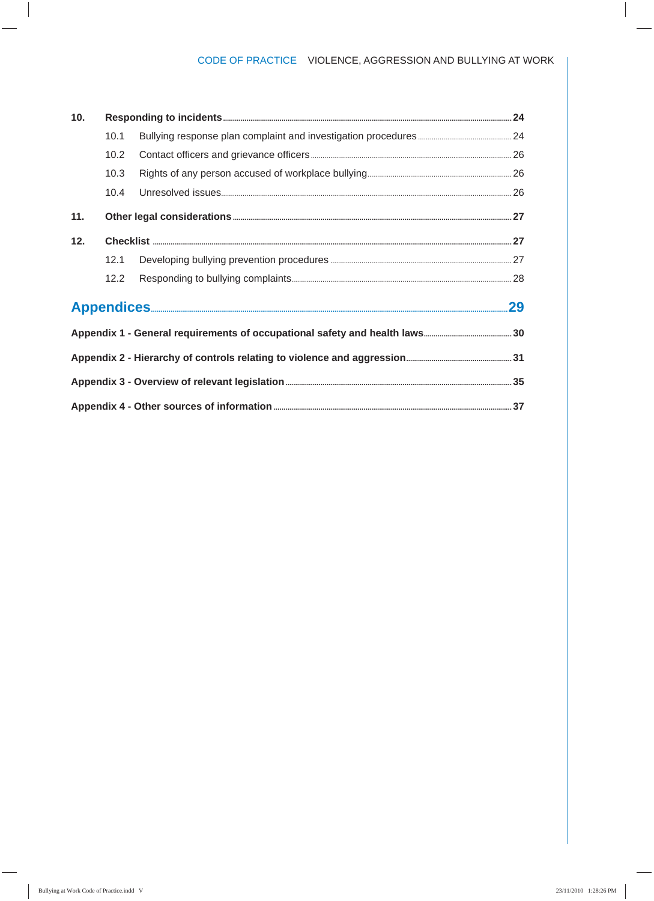#### CODE OF PRACTICE VIOLENCE, AGGRESSION AND BULLYING AT WORK

| 10. |      |  |
|-----|------|--|
|     | 10.1 |  |
|     | 10.2 |  |
|     | 10.3 |  |
|     | 10.4 |  |
| 11. |      |  |
| 12. |      |  |
|     | 12.1 |  |
|     | 12.2 |  |
|     |      |  |
|     |      |  |
|     |      |  |
|     |      |  |
|     |      |  |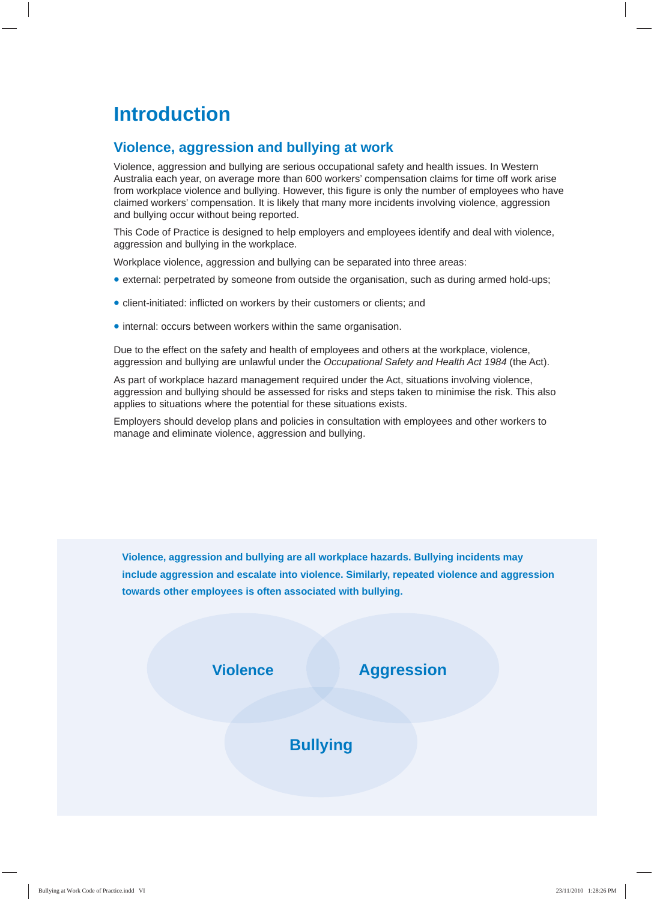### **Introduction**

#### **Violence, aggression and bullying at work**

Violence, aggression and bullying are serious occupational safety and health issues. In Western Australia each year, on average more than 600 workers' compensation claims for time off work arise from workplace violence and bullying. However, this figure is only the number of employees who have claimed workers' compensation. It is likely that many more incidents involving violence, aggression and bullying occur without being reported.

This Code of Practice is designed to help employers and employees identify and deal with violence, aggression and bullying in the workplace.

Workplace violence, aggression and bullying can be separated into three areas:

- external: perpetrated by someone from outside the organisation, such as during armed hold-ups;
- client-initiated: inflicted on workers by their customers or clients; and
- internal: occurs between workers within the same organisation.

Due to the effect on the safety and health of employees and others at the workplace, violence, aggression and bullying are unlawful under the *Occupational Safety and Health Act 1984* (the Act).

As part of workplace hazard management required under the Act, situations involving violence, aggression and bullying should be assessed for risks and steps taken to minimise the risk. This also applies to situations where the potential for these situations exists.

Employers should develop plans and policies in consultation with employees and other workers to manage and eliminate violence, aggression and bullying.

**Violence, aggression and bullying are all workplace hazards. Bullying incidents may include aggression and escalate into violence. Similarly, repeated violence and aggression towards other employees is often associated with bullying.**

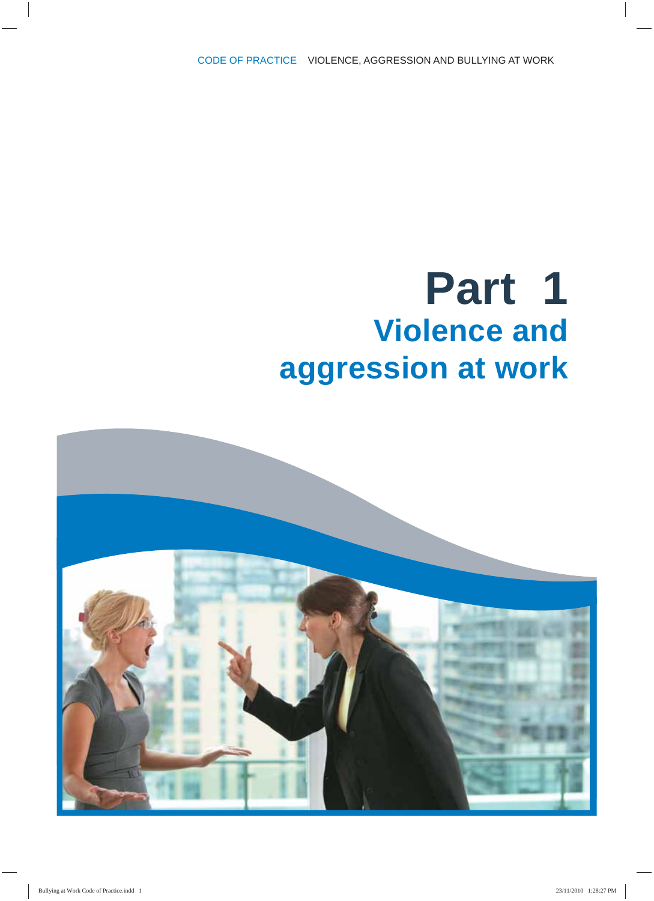## **Part 1 Violence and aggression at work**

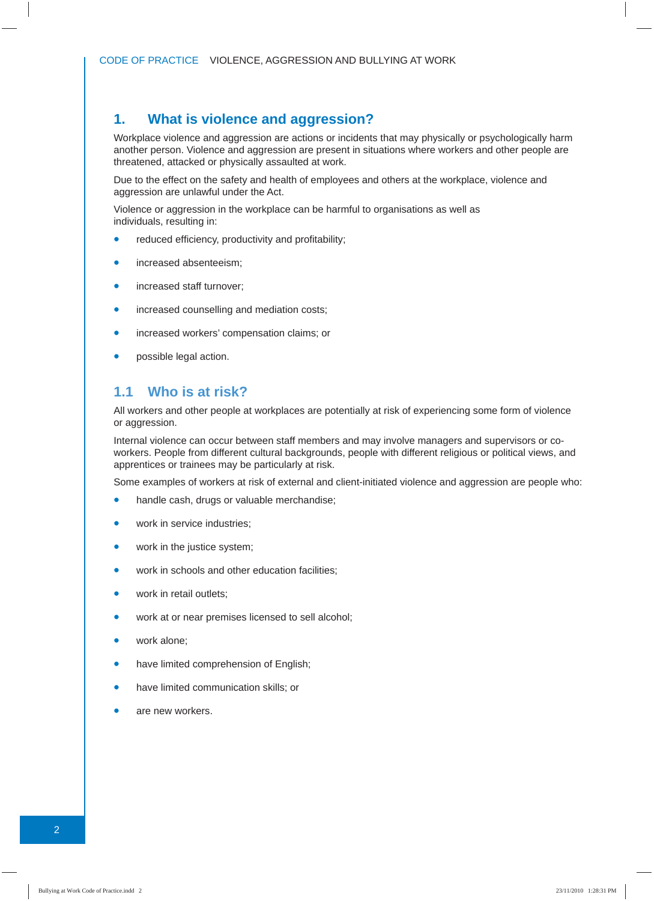#### **1. What is violence and aggression?**

Workplace violence and aggression are actions or incidents that may physically or psychologically harm another person. Violence and aggression are present in situations where workers and other people are threatened, attacked or physically assaulted at work.

Due to the effect on the safety and health of employees and others at the workplace, violence and aggression are unlawful under the Act.

Violence or aggression in the workplace can be harmful to organisations as well as individuals, resulting in:

- reduced efficiency, productivity and profitability;
- increased absenteeism:
- increased staff turnover;
- increased counselling and mediation costs;
- increased workers' compensation claims; or
- possible legal action.

#### **1.1 Who is at risk?**

All workers and other people at workplaces are potentially at risk of experiencing some form of violence or aggression.

Internal violence can occur between staff members and may involve managers and supervisors or coworkers. People from different cultural backgrounds, people with different religious or political views, and apprentices or trainees may be particularly at risk.

Some examples of workers at risk of external and client-initiated violence and aggression are people who:

- handle cash, drugs or valuable merchandise;
- work in service industries:
- work in the justice system;
- work in schools and other education facilities;
- work in retail outlets;
- work at or near premises licensed to sell alcohol;
- work alone:
- have limited comprehension of English;
- have limited communication skills; or
- are new workers.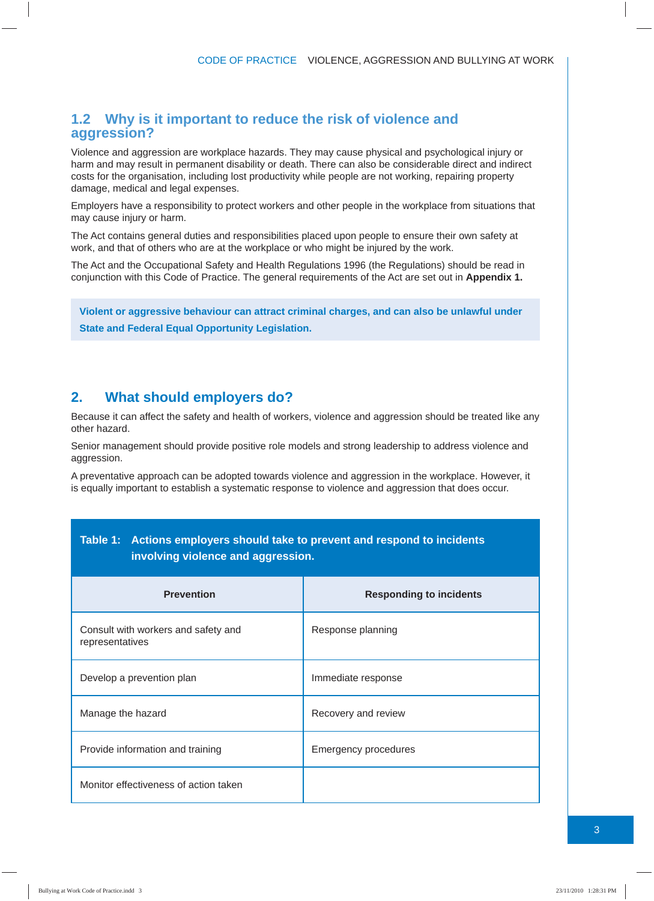#### **1.2 Why is it important to reduce the risk of violence and aggression?**

Violence and aggression are workplace hazards. They may cause physical and psychological injury or harm and may result in permanent disability or death. There can also be considerable direct and indirect costs for the organisation, including lost productivity while people are not working, repairing property damage, medical and legal expenses.

Employers have a responsibility to protect workers and other people in the workplace from situations that may cause injury or harm.

The Act contains general duties and responsibilities placed upon people to ensure their own safety at work, and that of others who are at the workplace or who might be injured by the work.

The Act and the Occupational Safety and Health Regulations 1996 (the Regulations) should be read in conjunction with this Code of Practice. The general requirements of the Act are set out in **Appendix 1.**

**Violent or aggressive behaviour can attract criminal charges, and can also be unlawful under State and Federal Equal Opportunity Legislation.**

#### **2. What should employers do?**

Because it can affect the safety and health of workers, violence and aggression should be treated like any other hazard.

Senior management should provide positive role models and strong leadership to address violence and aggression.

A preventative approach can be adopted towards violence and aggression in the workplace. However, it is equally important to establish a systematic response to violence and aggression that does occur.

| <u>wie it a tenene empleyere enem mie te preferiente repetiente te menuell</u><br>involving violence and aggression. |                                |
|----------------------------------------------------------------------------------------------------------------------|--------------------------------|
| <b>Prevention</b>                                                                                                    | <b>Responding to incidents</b> |
| Consult with workers and safety and<br>representatives                                                               | Response planning              |
| Develop a prevention plan                                                                                            | Immediate response             |
| Manage the hazard                                                                                                    | Recovery and review            |
| Provide information and training                                                                                     | <b>Emergency procedures</b>    |
| Monitor effectiveness of action taken                                                                                |                                |

## **Table 1: Actions employers should take to prevent and respond to incidents**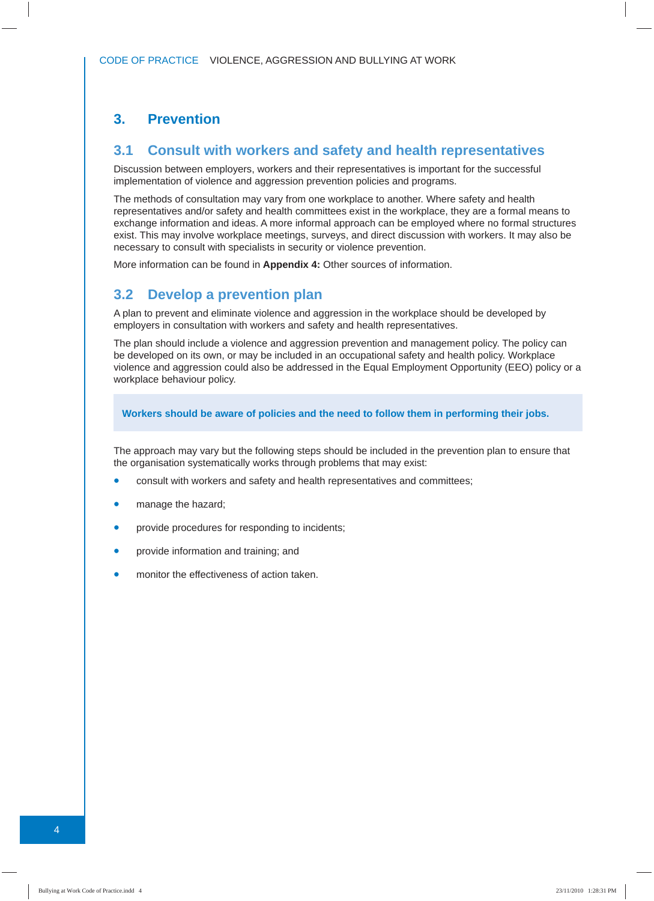#### **3. Prevention**

#### **3.1 Consult with workers and safety and health representatives**

Discussion between employers, workers and their representatives is important for the successful implementation of violence and aggression prevention policies and programs.

The methods of consultation may vary from one workplace to another. Where safety and health representatives and/or safety and health committees exist in the workplace, they are a formal means to exchange information and ideas. A more informal approach can be employed where no formal structures exist. This may involve workplace meetings, surveys, and direct discussion with workers. It may also be necessary to consult with specialists in security or violence prevention.

More information can be found in **Appendix 4:** Other sources of information.

#### **3.2 Develop a prevention plan**

A plan to prevent and eliminate violence and aggression in the workplace should be developed by employers in consultation with workers and safety and health representatives.

The plan should include a violence and aggression prevention and management policy. The policy can be developed on its own, or may be included in an occupational safety and health policy. Workplace violence and aggression could also be addressed in the Equal Employment Opportunity (EEO) policy or a workplace behaviour policy.

**Workers should be aware of policies and the need to follow them in performing their jobs.**

The approach may vary but the following steps should be included in the prevention plan to ensure that the organisation systematically works through problems that may exist:

- consult with workers and safety and health representatives and committees;
- manage the hazard;
- provide procedures for responding to incidents;
- provide information and training; and
- monitor the effectiveness of action taken.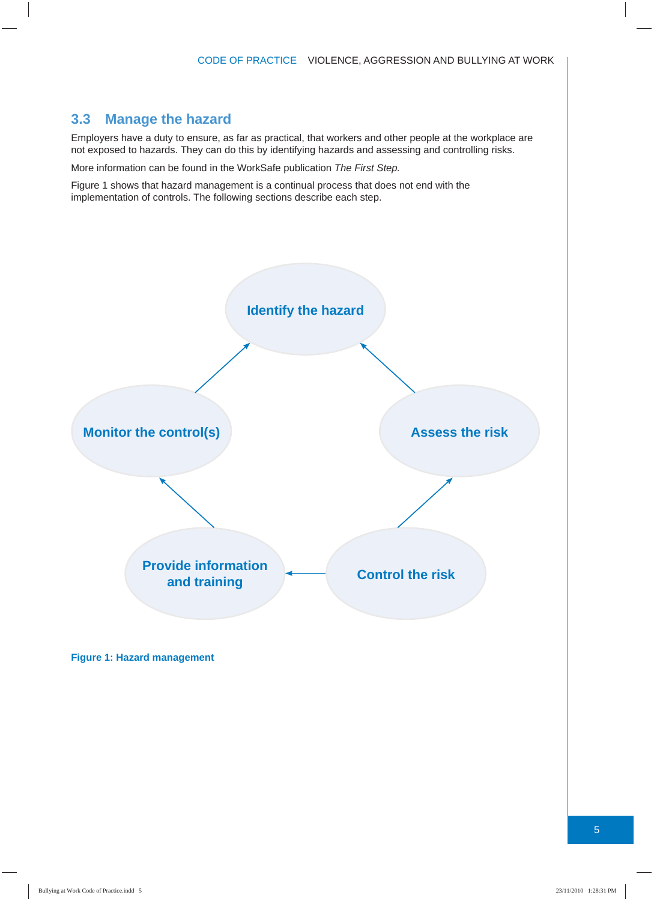#### **3.3 Manage the hazard**

Employers have a duty to ensure, as far as practical, that workers and other people at the workplace are not exposed to hazards. They can do this by identifying hazards and assessing and controlling risks.

More information can be found in the WorkSafe publication *The First Step.*

Figure 1 shows that hazard management is a continual process that does not end with the implementation of controls. The following sections describe each step.



**Figure 1: Hazard management**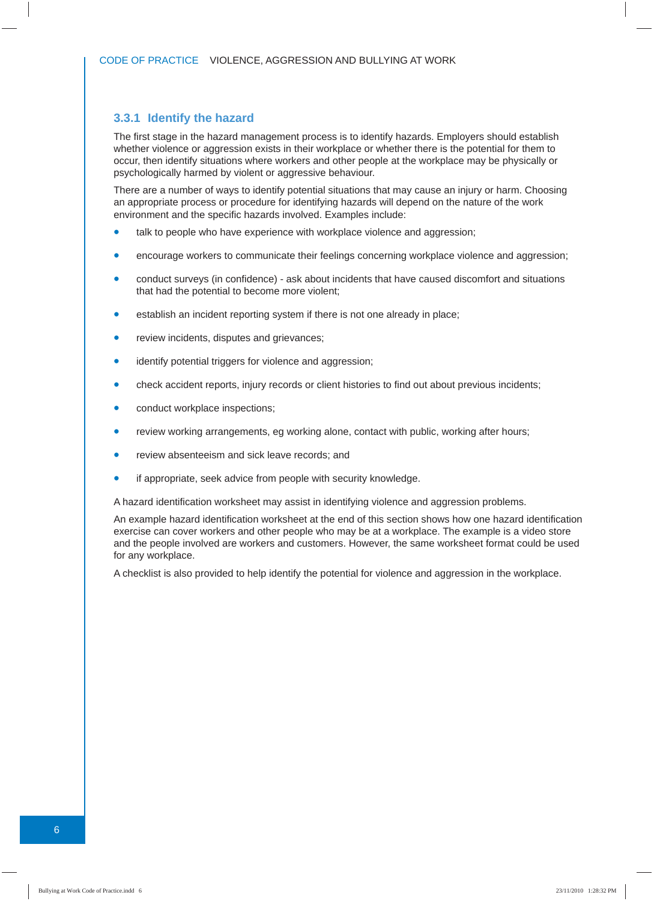#### **3.3.1 Identify the hazard**

The first stage in the hazard management process is to identify hazards. Employers should establish whether violence or aggression exists in their workplace or whether there is the potential for them to occur, then identify situations where workers and other people at the workplace may be physically or psychologically harmed by violent or aggressive behaviour.

There are a number of ways to identify potential situations that may cause an injury or harm. Choosing an appropriate process or procedure for identifying hazards will depend on the nature of the work environment and the specific hazards involved. Examples include:

- talk to people who have experience with workplace violence and aggression;
- encourage workers to communicate their feelings concerning workplace violence and aggression;
- conduct surveys (in confidence) ask about incidents that have caused discomfort and situations that had the potential to become more violent;
- establish an incident reporting system if there is not one already in place;
- review incidents, disputes and grievances;
- identify potential triggers for violence and aggression;
- check accident reports, injury records or client histories to find out about previous incidents;
- conduct workplace inspections;
- review working arrangements, eg working alone, contact with public, working after hours;
- review absenteeism and sick leave records; and
- if appropriate, seek advice from people with security knowledge.

A hazard identification worksheet may assist in identifying violence and aggression problems.

An example hazard identification worksheet at the end of this section shows how one hazard identification exercise can cover workers and other people who may be at a workplace. The example is a video store and the people involved are workers and customers. However, the same worksheet format could be used for any workplace.

A checklist is also provided to help identify the potential for violence and aggression in the workplace.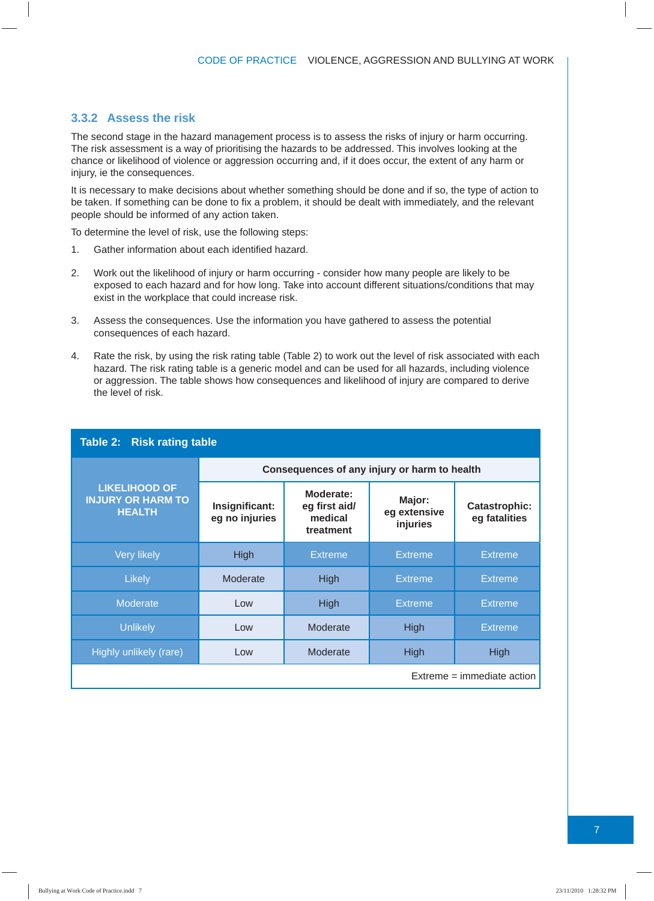#### **3.3.2 Assess the risk**

The second stage in the hazard management process is to assess the risks of injury or harm occurring. The risk assessment is a way of prioritising the hazards to be addressed. This involves looking at the chance or likelihood of violence or aggression occurring and, if it does occur, the extent of any harm or injury, ie the consequences.

It is necessary to make decisions about whether something should be done and if so, the type of action to be taken. If something can be done to fix a problem, it should be dealt with immediately, and the relevant people should be informed of any action taken.

To determine the level of risk, use the following steps:

- 1. Gather information about each identified hazard.
- 2. Work out the likelihood of injury or harm occurring consider how many people are likely to be exposed to each hazard and for how long. Take into account different situations/conditions that may exist in the workplace that could increase risk.
- 3. Assess the consequences. Use the information you have gathered to assess the potential consequences of each hazard.
- 4. Rate the risk, by using the risk rating table (Table 2) to work out the level of risk associated with each hazard. The risk rating table is a generic model and can be used for all hazards, including violence or aggression. The table shows how consequences and likelihood of injury are compared to derive the level of risk.

| Table 2: Risk rating table                                        |                                              |                                                    |                                    |                                       |
|-------------------------------------------------------------------|----------------------------------------------|----------------------------------------------------|------------------------------------|---------------------------------------|
|                                                                   | Consequences of any injury or harm to health |                                                    |                                    |                                       |
| <b>LIKELIHOOD OF</b><br><b>INJURY OR HARM TO</b><br><b>HEALTH</b> | Insignificant:<br>eg no injuries             | Moderate:<br>eg first aid/<br>medical<br>treatment | Major:<br>eg extensive<br>injuries | <b>Catastrophic:</b><br>eg fatalities |
| <b>Very likely</b>                                                | High                                         | <b>Extreme</b>                                     | <b>Extreme</b>                     | <b>Extreme</b>                        |
| Likely                                                            | Moderate                                     | <b>High</b>                                        | <b>Extreme</b>                     | <b>Extreme</b>                        |
| <b>Moderate</b>                                                   | Low                                          | <b>High</b>                                        | <b>Extreme</b>                     | <b>Extreme</b>                        |
| <b>Unlikely</b>                                                   | Low                                          | Moderate                                           | High                               | Extreme                               |
| Highly unlikely (rare)                                            | Low                                          | Moderate                                           | <b>High</b>                        | High                                  |
| $Extreme = immediate action$                                      |                                              |                                                    |                                    |                                       |

7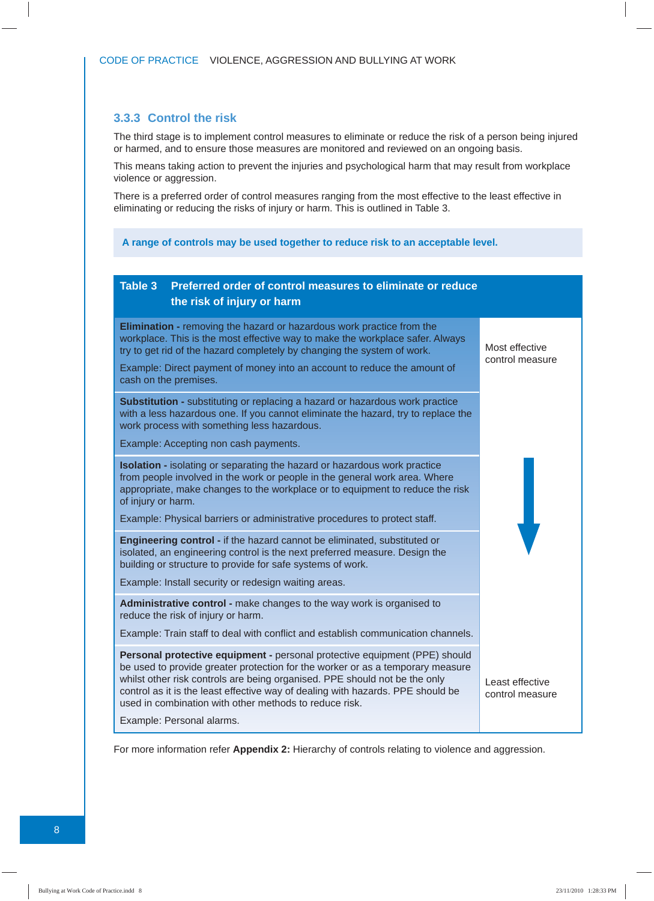#### **3.3.3 Control the risk**

The third stage is to implement control measures to eliminate or reduce the risk of a person being injured or harmed, and to ensure those measures are monitored and reviewed on an ongoing basis.

This means taking action to prevent the injuries and psychological harm that may result from workplace violence or aggression.

There is a preferred order of control measures ranging from the most effective to the least effective in eliminating or reducing the risks of injury or harm. This is outlined in Table 3.

#### **A range of controls may be used together to reduce risk to an acceptable level.**

#### **Table 3 Preferred order of control measures to eliminate or reduce the risk of injury or harm Elimination -** removing the hazard or hazardous work practice from the workplace. This is the most effective way to make the workplace safer. Always try to get rid of the hazard completely by changing the system of work. Example: Direct payment of money into an account to reduce the amount of cash on the premises. Most effective control measure **Substitution -** substituting or replacing a hazard or hazardous work practice with a less hazardous one. If you cannot eliminate the hazard, try to replace the work process with something less hazardous. Example: Accepting non cash payments. **Isolation -** isolating or separating the hazard or hazardous work practice from people involved in the work or people in the general work area. Where appropriate, make changes to the workplace or to equipment to reduce the risk of injury or harm. Example: Physical barriers or administrative procedures to protect staff. **Engineering control -** if the hazard cannot be eliminated, substituted or isolated, an engineering control is the next preferred measure. Design the building or structure to provide for safe systems of work. Example: Install security or redesign waiting areas. **Administrative control -** make changes to the way work is organised to reduce the risk of injury or harm. Example: Train staff to deal with conflict and establish communication channels. **Personal protective equipment -** personal protective equipment (PPE) should be used to provide greater protection for the worker or as a temporary measure whilst other risk controls are being organised. PPE should not be the only control as it is the least effective way of dealing with hazards. PPE should be used in combination with other methods to reduce risk. Example: Personal alarms. Least effective control measure

For more information refer **Appendix 2:** Hierarchy of controls relating to violence and aggression.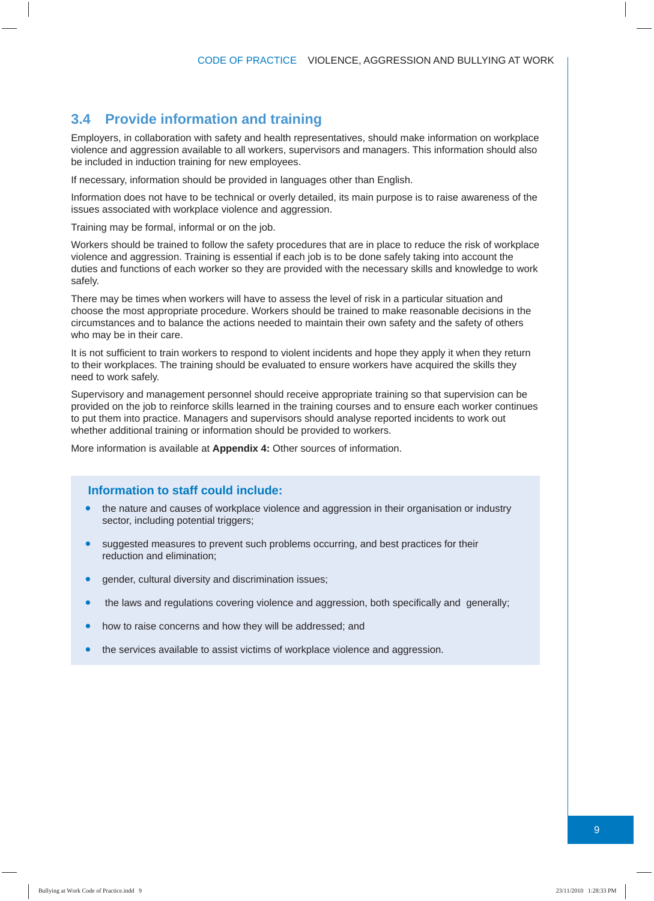#### **3.4 Provide information and training**

Employers, in collaboration with safety and health representatives, should make information on workplace violence and aggression available to all workers, supervisors and managers. This information should also be included in induction training for new employees.

If necessary, information should be provided in languages other than English.

Information does not have to be technical or overly detailed, its main purpose is to raise awareness of the issues associated with workplace violence and aggression.

Training may be formal, informal or on the job.

Workers should be trained to follow the safety procedures that are in place to reduce the risk of workplace violence and aggression. Training is essential if each job is to be done safely taking into account the duties and functions of each worker so they are provided with the necessary skills and knowledge to work safely.

There may be times when workers will have to assess the level of risk in a particular situation and choose the most appropriate procedure. Workers should be trained to make reasonable decisions in the circumstances and to balance the actions needed to maintain their own safety and the safety of others who may be in their care.

It is not sufficient to train workers to respond to violent incidents and hope they apply it when they return to their workplaces. The training should be evaluated to ensure workers have acquired the skills they need to work safely.

Supervisory and management personnel should receive appropriate training so that supervision can be provided on the job to reinforce skills learned in the training courses and to ensure each worker continues to put them into practice. Managers and supervisors should analyse reported incidents to work out whether additional training or information should be provided to workers.

More information is available at **Appendix 4:** Other sources of information.

#### **Information to staff could include:**

- the nature and causes of workplace violence and aggression in their organisation or industry sector, including potential triggers;
- suggested measures to prevent such problems occurring, and best practices for their reduction and elimination;
- gender, cultural diversity and discrimination issues;
- the laws and regulations covering violence and aggression, both specifically and generally;
- how to raise concerns and how they will be addressed; and
- the services available to assist victims of workplace violence and aggression.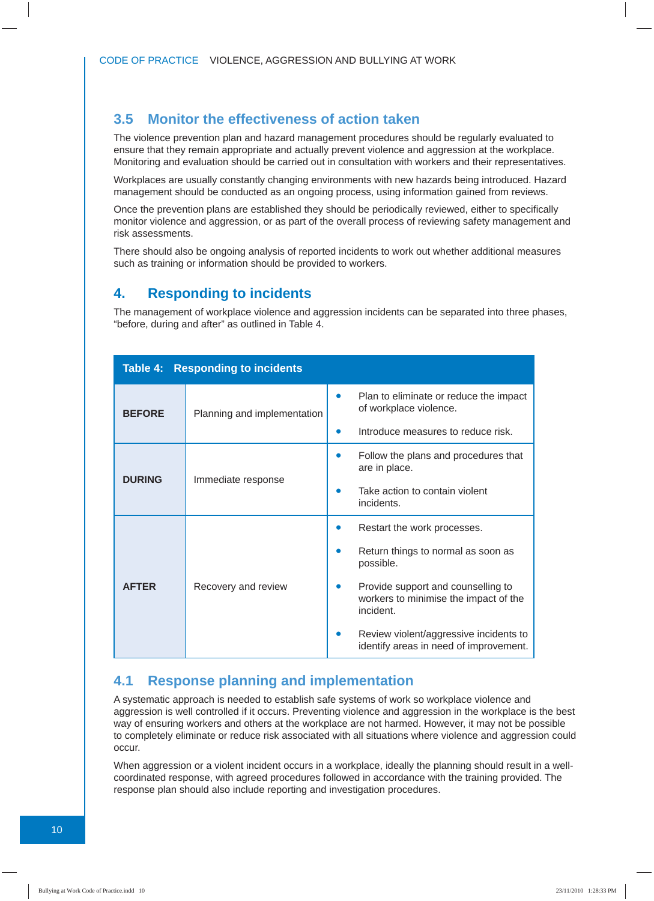#### **3.5 Monitor the effectiveness of action taken**

The violence prevention plan and hazard management procedures should be regularly evaluated to ensure that they remain appropriate and actually prevent violence and aggression at the workplace. Monitoring and evaluation should be carried out in consultation with workers and their representatives.

Workplaces are usually constantly changing environments with new hazards being introduced. Hazard management should be conducted as an ongoing process, using information gained from reviews.

Once the prevention plans are established they should be periodically reviewed, either to specifically monitor violence and aggression, or as part of the overall process of reviewing safety management and risk assessments.

There should also be ongoing analysis of reported incidents to work out whether additional measures such as training or information should be provided to workers.

#### **4. Responding to incidents**

The management of workplace violence and aggression incidents can be separated into three phases, "before, during and after" as outlined in Table 4.

|               | Table 4: Responding to incidents |                                                                                          |
|---------------|----------------------------------|------------------------------------------------------------------------------------------|
| <b>BEFORE</b> | Planning and implementation      | Plan to eliminate or reduce the impact<br>of workplace violence.                         |
|               |                                  | Introduce measures to reduce risk.                                                       |
| <b>DURING</b> |                                  | Follow the plans and procedures that<br>are in place.                                    |
|               | Immediate response               | Take action to contain violent<br>incidents.                                             |
|               | Recovery and review              | Restart the work processes.                                                              |
|               |                                  | Return things to normal as soon as<br>possible.                                          |
| <b>AFTER</b>  |                                  | Provide support and counselling to<br>workers to minimise the impact of the<br>incident. |
|               |                                  | Review violent/aggressive incidents to<br>identify areas in need of improvement.         |

#### **4.1 Response planning and implementation**

A systematic approach is needed to establish safe systems of work so workplace violence and aggression is well controlled if it occurs. Preventing violence and aggression in the workplace is the best way of ensuring workers and others at the workplace are not harmed. However, it may not be possible to completely eliminate or reduce risk associated with all situations where violence and aggression could occur.

When aggression or a violent incident occurs in a workplace, ideally the planning should result in a wellcoordinated response, with agreed procedures followed in accordance with the training provided. The response plan should also include reporting and investigation procedures.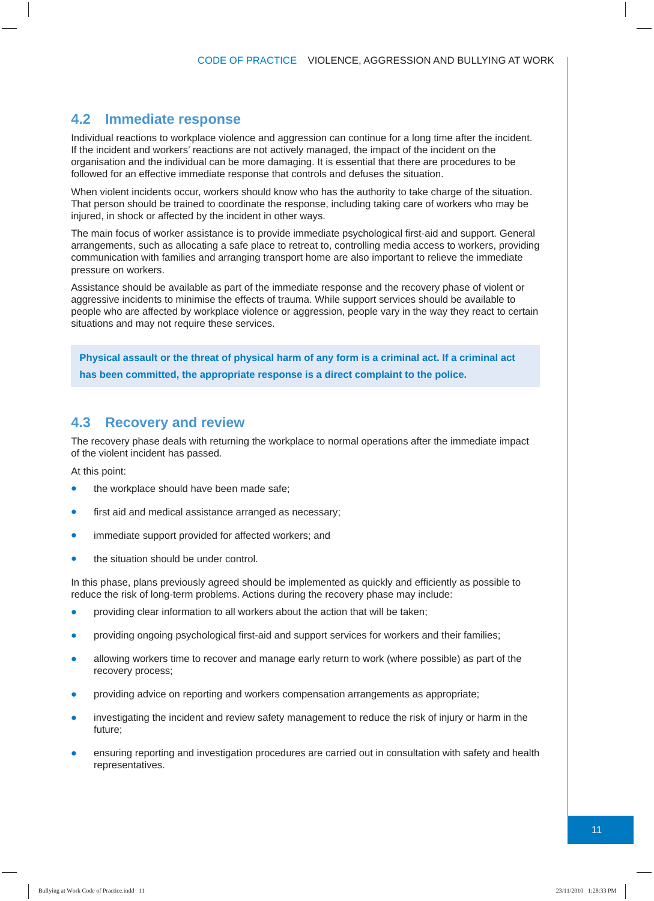#### **4.2 Immediate response**

Individual reactions to workplace violence and aggression can continue for a long time after the incident. If the incident and workers' reactions are not actively managed, the impact of the incident on the organisation and the individual can be more damaging. It is essential that there are procedures to be followed for an effective immediate response that controls and defuses the situation.

When violent incidents occur, workers should know who has the authority to take charge of the situation. That person should be trained to coordinate the response, including taking care of workers who may be injured, in shock or affected by the incident in other ways.

The main focus of worker assistance is to provide immediate psychological first-aid and support. General arrangements, such as allocating a safe place to retreat to, controlling media access to workers, providing communication with families and arranging transport home are also important to relieve the immediate pressure on workers.

Assistance should be available as part of the immediate response and the recovery phase of violent or aggressive incidents to minimise the effects of trauma. While support services should be available to people who are affected by workplace violence or aggression, people vary in the way they react to certain situations and may not require these services.

**Physical assault or the threat of physical harm of any form is a criminal act. If a criminal act has been committed, the appropriate response is a direct complaint to the police.** 

#### **4.3 Recovery and review**

The recovery phase deals with returning the workplace to normal operations after the immediate impact of the violent incident has passed.

At this point:

- the workplace should have been made safe;
- first aid and medical assistance arranged as necessary;
- immediate support provided for affected workers; and
- the situation should be under control.

In this phase, plans previously agreed should be implemented as quickly and efficiently as possible to reduce the risk of long-term problems. Actions during the recovery phase may include:

- providing clear information to all workers about the action that will be taken;
- providing ongoing psychological first-aid and support services for workers and their families;
- allowing workers time to recover and manage early return to work (where possible) as part of the recovery process;
- providing advice on reporting and workers compensation arrangements as appropriate;
- investigating the incident and review safety management to reduce the risk of injury or harm in the future;
- ensuring reporting and investigation procedures are carried out in consultation with safety and health representatives.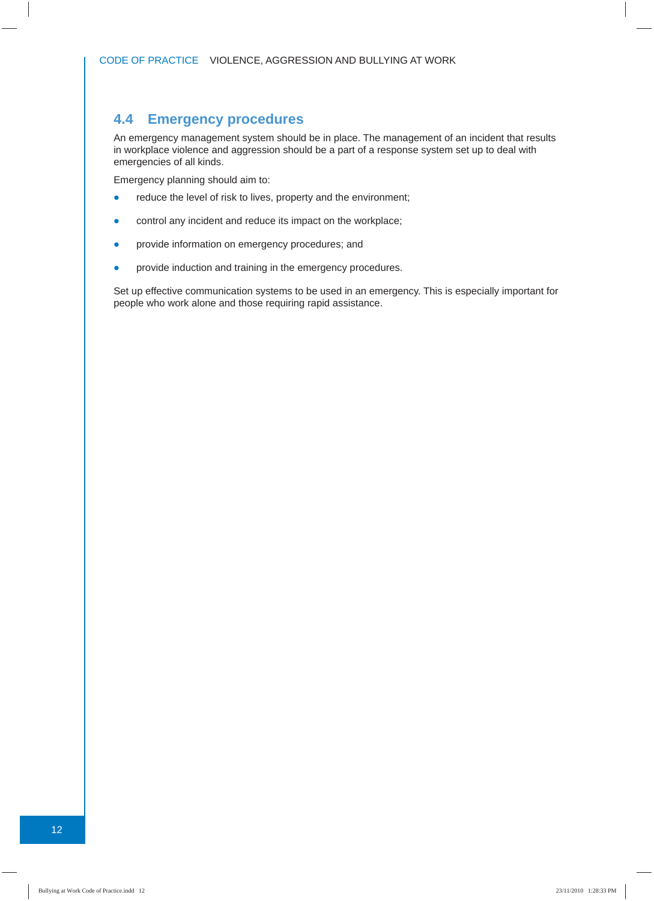#### **4.4 Emergency procedures**

An emergency management system should be in place. The management of an incident that results in workplace violence and aggression should be a part of a response system set up to deal with emergencies of all kinds.

Emergency planning should aim to:

- reduce the level of risk to lives, property and the environment;
- control any incident and reduce its impact on the workplace;
- provide information on emergency procedures; and
- provide induction and training in the emergency procedures.

Set up effective communication systems to be used in an emergency. This is especially important for people who work alone and those requiring rapid assistance.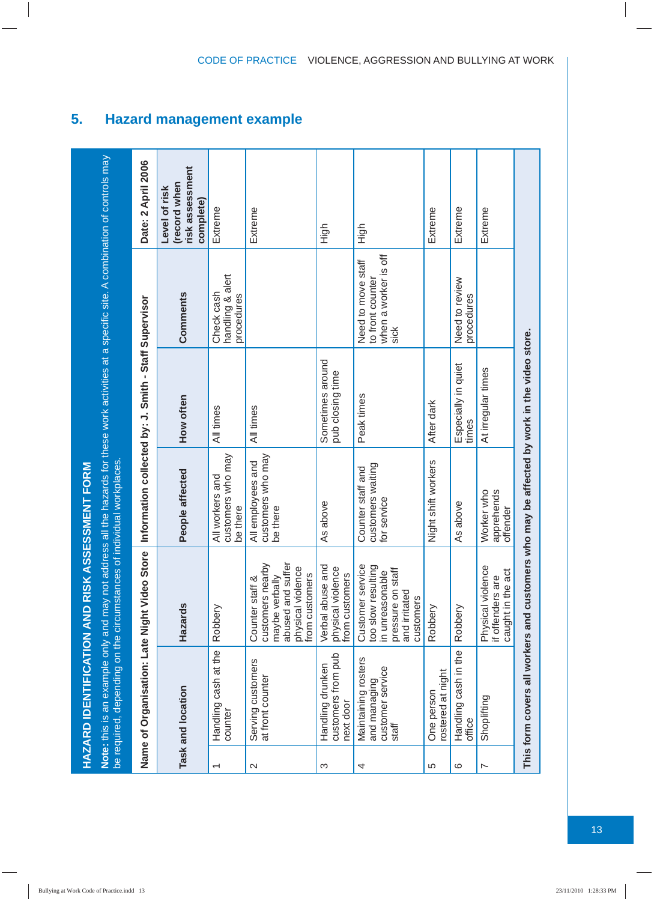|                          | <b>HAZARD IDENTIFICATION AND RIS</b>                                  |                                                                                                                                  | <b>KASSESSMENT FORM</b>                                                                                                                       |                                                       |                                                                        |                                                               |
|--------------------------|-----------------------------------------------------------------------|----------------------------------------------------------------------------------------------------------------------------------|-----------------------------------------------------------------------------------------------------------------------------------------------|-------------------------------------------------------|------------------------------------------------------------------------|---------------------------------------------------------------|
|                          | be required, depending on the circumstances of individual workplaces. |                                                                                                                                  | Note: this is an example only and may not address all the hazards for these work activities at a specific site. A combination of controls may |                                                       |                                                                        |                                                               |
|                          | Name of Organisation: Late Night Video Store                          |                                                                                                                                  |                                                                                                                                               | Information collected by: J. Smith - Staff Supervisor |                                                                        | Date: 2 April 2006                                            |
|                          | Task and location                                                     | Hazards                                                                                                                          | People affected                                                                                                                               | How often                                             | Comments                                                               | risk assessment<br>(record when<br>Level of risk<br>complete) |
| $\overline{\phantom{0}}$ | Handling cash at the<br>counter                                       | Robbery                                                                                                                          | customers who may<br>All workers and<br>be there                                                                                              | All times                                             | handling & alert<br>Check cash<br>procedures                           | Extreme                                                       |
| $\mathbf{\Omega}$        | Serving customers<br>at front counter                                 | abused and suffer<br>Counter staff &<br>customers nearby<br>physical violence<br>maybe verbally<br>from customers                | customers who may<br>All employees and<br>be there                                                                                            | All times                                             |                                                                        | Extreme                                                       |
| က                        | customers from pub<br>Handling drunken<br>next door                   | Verbal abuse and<br>physical violence<br>from customers                                                                          | As above                                                                                                                                      | Sometimes around<br>pub closing time                  |                                                                        | High                                                          |
| 4                        | Maintaining rosters<br>customer service<br>and managing<br>staff      | Customer service<br>too slow resulting<br>pressure on staff<br>$\frac{1}{\alpha}$<br>in unreasonal<br>and irritated<br>customers | customers waiting<br>Counter staff and<br>for service                                                                                         | Peak times                                            | when a worker is off<br>Need to move staff<br>to front counter<br>sick | High                                                          |
| 5                        | rostered at night<br>One person                                       | Robbery                                                                                                                          | Night shift workers                                                                                                                           | After dark                                            |                                                                        | Extreme                                                       |
| ဖ                        | Handling cash in the<br>office                                        | Robbery                                                                                                                          | As above                                                                                                                                      | Especially in quiet<br>times                          | Need to review<br>procedures                                           | Extreme                                                       |
| $\overline{ }$           | Shoplitting                                                           | Physical violence<br>caught in the act<br>φ<br>if offenders ar                                                                   | Worker who<br>apprehends<br>offender                                                                                                          | At irregular times                                    |                                                                        | Extreme                                                       |
|                          |                                                                       |                                                                                                                                  | This form covers all workers and customers who may be affected by work in the video store.                                                    |                                                       |                                                                        |                                                               |

#### **5. Hazard management example**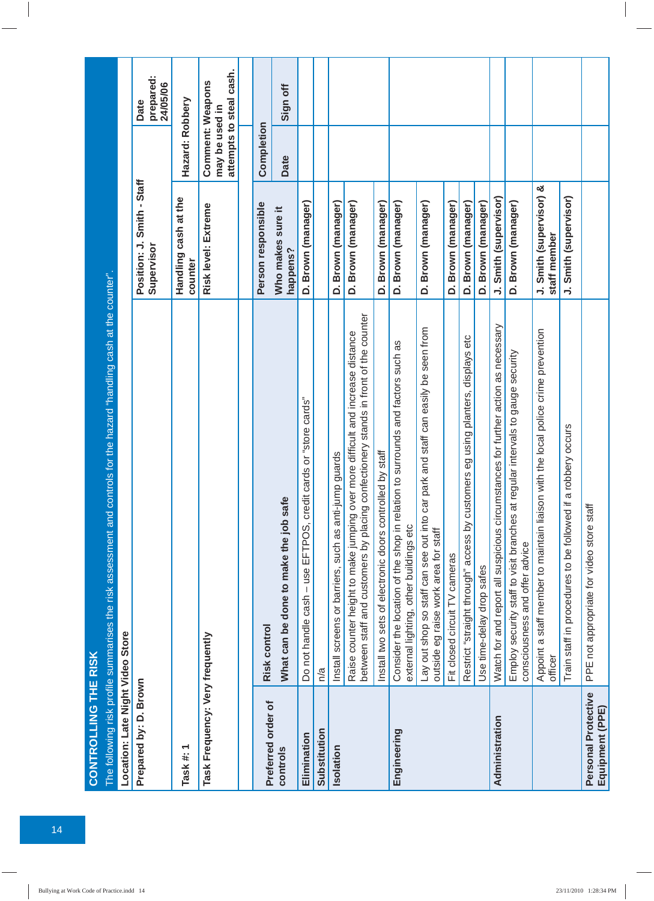| <b>CONTROLLING THE RISK</b>            | The following risk profile summarises the risk assessment and controls for the hazard "handling cash at the counter".                                                    |                                          |                                    |                               |
|----------------------------------------|--------------------------------------------------------------------------------------------------------------------------------------------------------------------------|------------------------------------------|------------------------------------|-------------------------------|
| Location: Late Night Video Store       |                                                                                                                                                                          |                                          |                                    |                               |
| Prepared by: D. Brown                  |                                                                                                                                                                          | Position: J. Smith - Staff<br>Supervisor |                                    | prepared:<br>24/05/06<br>Date |
| Task #: 1                              |                                                                                                                                                                          | Handling cash at the<br>counter          | Hazard: Robbery                    |                               |
| Task Frequency: Very frequently        |                                                                                                                                                                          | Risk level: Extreme                      | Comment: Weapons<br>may be used in | attempts to steal cash.       |
|                                        |                                                                                                                                                                          |                                          |                                    |                               |
| Preferred order of                     | <b>Risk control</b>                                                                                                                                                      | Person responsible                       | Completion                         |                               |
| controls                               | ڥ<br>What can be done to make the job say                                                                                                                                | Who makes sure it<br>happens?            | Date                               | Sign off                      |
| Elimination                            | Do not handle cash - use EFTPOS, credit cards or "store cards"                                                                                                           | D. Brown (manager)                       |                                    |                               |
| Substitution                           | n/a                                                                                                                                                                      |                                          |                                    |                               |
| Isolation                              | Install screens or barriers, such as anti-jump guards                                                                                                                    | D. Brown (manager)                       |                                    |                               |
|                                        | confectionery stands in front of the counter<br>Raise counter height to make jumping over more difficult and increase distance<br>between staff and customers by placing | D. Brown (manager)                       |                                    |                               |
|                                        | Install two sets of electronic doors controlled by staff                                                                                                                 | D. Brown (manager)                       |                                    |                               |
| Engineering                            | Consider the location of the shop in relation to surrounds and factors such as<br>external lighting, other buildings etc                                                 | D. Brown (manager)                       |                                    |                               |
|                                        | Lay out shop so staff can see out into car park and staff can easily be seen from<br>outside eg raise work area for staff                                                | D. Brown (manager)                       |                                    |                               |
|                                        | Fit closed circuit TV cameras                                                                                                                                            | D. Brown (manager)                       |                                    |                               |
|                                        | Restrict "straight through" access by customers eg using planters, displays etc                                                                                          | D. Brown (manager)                       |                                    |                               |
|                                        | Use time-delay drop safes                                                                                                                                                | D. Brown (manager)                       |                                    |                               |
| Administration                         | Watch for and report all suspicious circumstances for further action as necessary                                                                                        | J. Smith (supervisor)                    |                                    |                               |
|                                        | Employ security staff to visit branches at regular intervals to gauge security<br>consciousness and offer advice                                                         | D. Brown (manager)                       |                                    |                               |
|                                        | Appoint a staff member to maintain liaison with the local police crime prevention<br>officer                                                                             | J. Smith (supervisor) &<br>staff member  |                                    |                               |
|                                        | Train staff in procedures to be followed if a robbery occurs                                                                                                             | J. Smith (supervisor)                    |                                    |                               |
| Personal Protective<br>Equipment (PPE) | PPE not appropriate for video store staff                                                                                                                                |                                          |                                    |                               |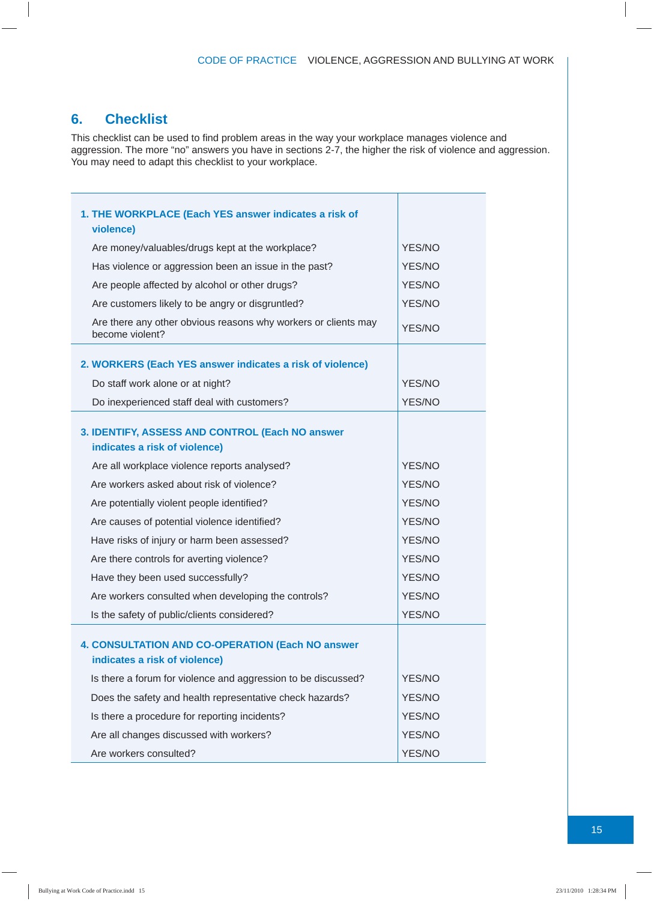#### **6. Checklist**

This checklist can be used to find problem areas in the way your workplace manages violence and aggression. The more "no" answers you have in sections 2-7, the higher the risk of violence and aggression. You may need to adapt this checklist to your workplace.

| 1. THE WORKPLACE (Each YES answer indicates a risk of<br>violence)                       |               |
|------------------------------------------------------------------------------------------|---------------|
| Are money/valuables/drugs kept at the workplace?                                         | YES/NO        |
| Has violence or aggression been an issue in the past?                                    | YES/NO        |
| Are people affected by alcohol or other drugs?                                           | YES/NO        |
| Are customers likely to be angry or disgruntled?                                         | <b>YES/NO</b> |
| Are there any other obvious reasons why workers or clients may<br>become violent?        | YES/NO        |
| 2. WORKERS (Each YES answer indicates a risk of violence)                                |               |
| Do staff work alone or at night?                                                         | YES/NO        |
| Do inexperienced staff deal with customers?                                              | YES/NO        |
| 3. IDENTIFY, ASSESS AND CONTROL (Each NO answer<br>indicates a risk of violence)         |               |
| Are all workplace violence reports analysed?                                             | YES/NO        |
| Are workers asked about risk of violence?                                                | YES/NO        |
| Are potentially violent people identified?                                               | YES/NO        |
| Are causes of potential violence identified?                                             | YES/NO        |
| Have risks of injury or harm been assessed?                                              | YES/NO        |
| Are there controls for averting violence?                                                | YES/NO        |
| Have they been used successfully?                                                        | YES/NO        |
| Are workers consulted when developing the controls?                                      | YES/NO        |
| Is the safety of public/clients considered?                                              | YES/NO        |
| <b>4. CONSULTATION AND CO-OPERATION (Each NO answer</b><br>indicates a risk of violence) |               |
| Is there a forum for violence and aggression to be discussed?                            | YES/NO        |
| Does the safety and health representative check hazards?                                 | YES/NO        |
| Is there a procedure for reporting incidents?                                            | YES/NO        |
| Are all changes discussed with workers?                                                  | YES/NO        |
| Are workers consulted?                                                                   | YES/NO        |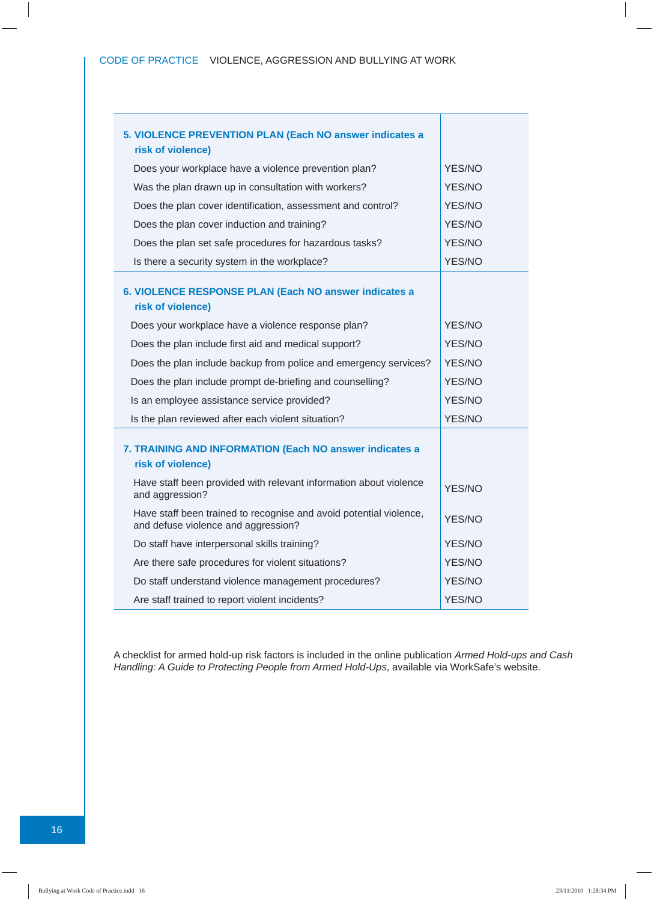| 5. VIOLENCE PREVENTION PLAN (Each NO answer indicates a                                                   |               |
|-----------------------------------------------------------------------------------------------------------|---------------|
| risk of violence)                                                                                         |               |
| Does your workplace have a violence prevention plan?                                                      | YES/NO        |
| Was the plan drawn up in consultation with workers?                                                       | YES/NO        |
| Does the plan cover identification, assessment and control?                                               | YES/NO        |
| Does the plan cover induction and training?                                                               | YES/NO        |
| Does the plan set safe procedures for hazardous tasks?                                                    | YES/NO        |
| Is there a security system in the workplace?                                                              | YES/NO        |
| 6. VIOLENCE RESPONSE PLAN (Each NO answer indicates a<br>risk of violence)                                |               |
| Does your workplace have a violence response plan?                                                        | YES/NO        |
| Does the plan include first aid and medical support?                                                      | YES/NO        |
| Does the plan include backup from police and emergency services?                                          | YES/NO        |
| Does the plan include prompt de-briefing and counselling?                                                 | <b>YES/NO</b> |
| Is an employee assistance service provided?                                                               | YES/NO        |
| Is the plan reviewed after each violent situation?                                                        | YES/NO        |
| 7. TRAINING AND INFORMATION (Each NO answer indicates a<br>risk of violence)                              |               |
| Have staff been provided with relevant information about violence<br>and aggression?                      | YES/NO        |
| Have staff been trained to recognise and avoid potential violence,<br>and defuse violence and aggression? | <b>YES/NO</b> |
| Do staff have interpersonal skills training?                                                              | YES/NO        |
| Are there safe procedures for violent situations?                                                         | YES/NO        |
| Do staff understand violence management procedures?                                                       | YES/NO        |
| Are staff trained to report violent incidents?                                                            | YES/NO        |

A checklist for armed hold-up risk factors is included in the online publication *Armed Hold-ups and Cash Handling: A Guide to Protecting People from Armed Hold-Ups*, available via WorkSafe's website.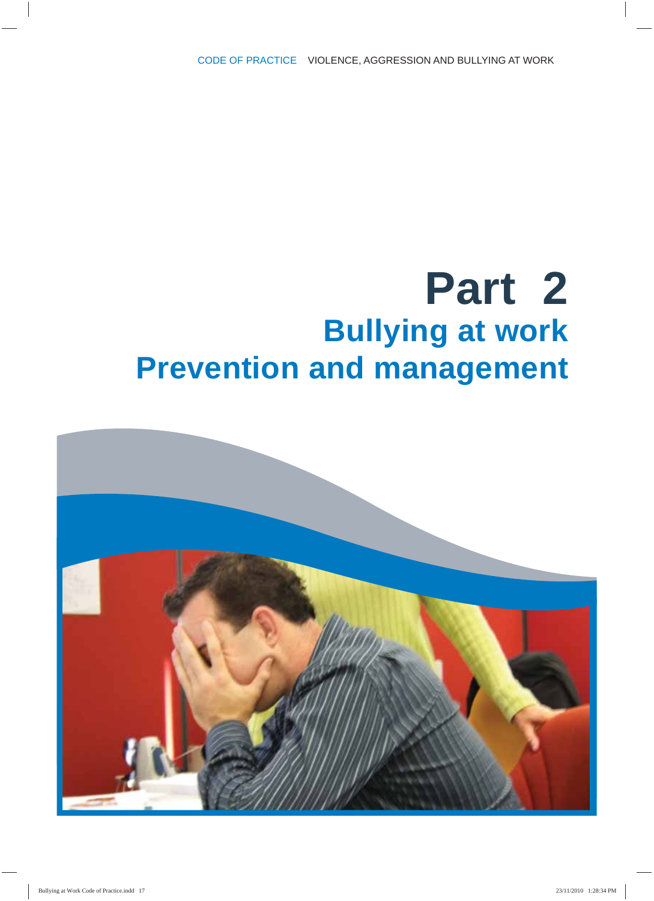## **Part 2 Bullying at work Prevention and management**

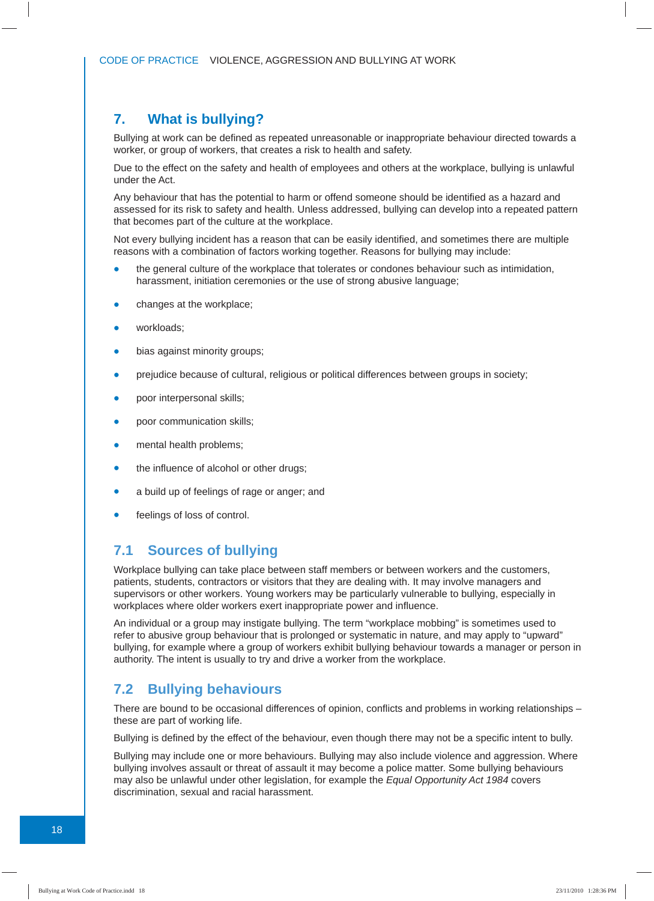#### **7. What is bullying?**

Bullying at work can be defined as repeated unreasonable or inappropriate behaviour directed towards a worker, or group of workers, that creates a risk to health and safety.

Due to the effect on the safety and health of employees and others at the workplace, bullying is unlawful under the Act.

Any behaviour that has the potential to harm or offend someone should be identified as a hazard and assessed for its risk to safety and health. Unless addressed, bullying can develop into a repeated pattern that becomes part of the culture at the workplace.

Not every bullying incident has a reason that can be easily identified, and sometimes there are multiple reasons with a combination of factors working together. Reasons for bullying may include:

- the general culture of the workplace that tolerates or condones behaviour such as intimidation, harassment, initiation ceremonies or the use of strong abusive language;
- changes at the workplace;
- workloads;
- bias against minority groups;
- prejudice because of cultural, religious or political differences between groups in society;
- poor interpersonal skills;
- poor communication skills;
- mental health problems;
- the influence of alcohol or other drugs;
- a build up of feelings of rage or anger; and
- feelings of loss of control.

#### **7.1 Sources of bullying**

Workplace bullying can take place between staff members or between workers and the customers, patients, students, contractors or visitors that they are dealing with. It may involve managers and supervisors or other workers. Young workers may be particularly vulnerable to bullying, especially in workplaces where older workers exert inappropriate power and influence.

An individual or a group may instigate bullying. The term "workplace mobbing" is sometimes used to refer to abusive group behaviour that is prolonged or systematic in nature, and may apply to "upward" bullying, for example where a group of workers exhibit bullying behaviour towards a manager or person in authority. The intent is usually to try and drive a worker from the workplace.

#### **7.2 Bullying behaviours**

There are bound to be occasional differences of opinion, conflicts and problems in working relationships  $$ these are part of working life.

Bullying is defined by the effect of the behaviour, even though there may not be a specific intent to bully.

Bullying may include one or more behaviours. Bullying may also include violence and aggression. Where bullying involves assault or threat of assault it may become a police matter. Some bullying behaviours may also be unlawful under other legislation, for example the *Equal Opportunity Act 1984* covers discrimination, sexual and racial harassment.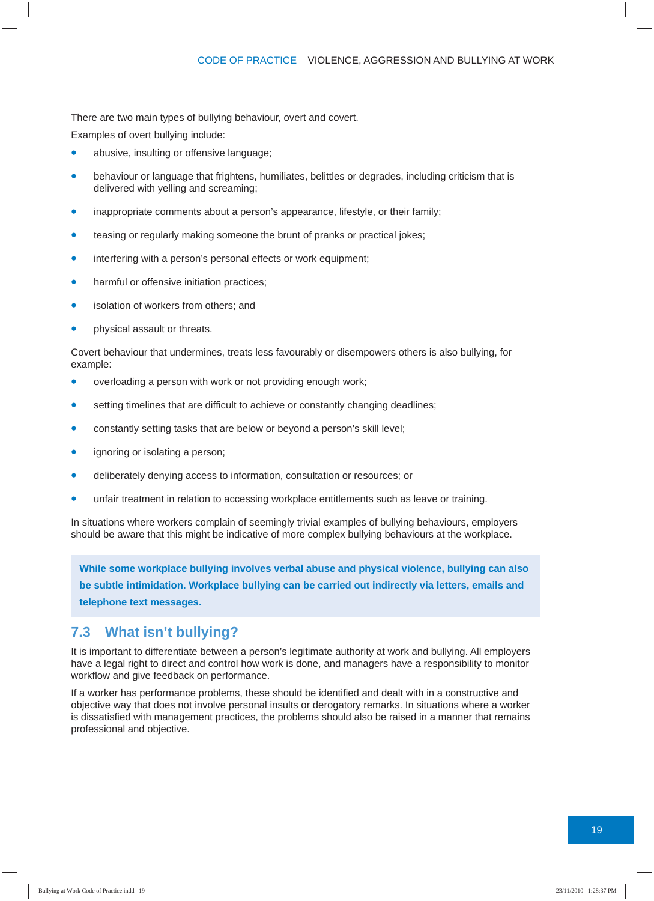There are two main types of bullying behaviour, overt and covert.

Examples of overt bullying include:

- abusive, insulting or offensive language;
- behaviour or language that frightens, humiliates, belittles or degrades, including criticism that is delivered with yelling and screaming;
- inappropriate comments about a person's appearance, lifestyle, or their family;
- teasing or regularly making someone the brunt of pranks or practical jokes;
- interfering with a person's personal effects or work equipment;
- harmful or offensive initiation practices;
- isolation of workers from others; and
- physical assault or threats.

Covert behaviour that undermines, treats less favourably or disempowers others is also bullying, for example:

- overloading a person with work or not providing enough work;
- setting timelines that are difficult to achieve or constantly changing deadlines;
- constantly setting tasks that are below or beyond a person's skill level;
- ignoring or isolating a person:
- deliberately denying access to information, consultation or resources; or
- unfair treatment in relation to accessing workplace entitlements such as leave or training.

In situations where workers complain of seemingly trivial examples of bullying behaviours, employers should be aware that this might be indicative of more complex bullying behaviours at the workplace.

**While some workplace bullying involves verbal abuse and physical violence, bullying can also be subtle intimidation. Workplace bullying can be carried out indirectly via letters, emails and telephone text messages.** 

#### **7.3 What isn't bullying?**

It is important to differentiate between a person's legitimate authority at work and bullying. All employers have a legal right to direct and control how work is done, and managers have a responsibility to monitor workflow and give feedback on performance.

If a worker has performance problems, these should be identified and dealt with in a constructive and objective way that does not involve personal insults or derogatory remarks. In situations where a worker is dissatisfied with management practices, the problems should also be raised in a manner that remains professional and objective.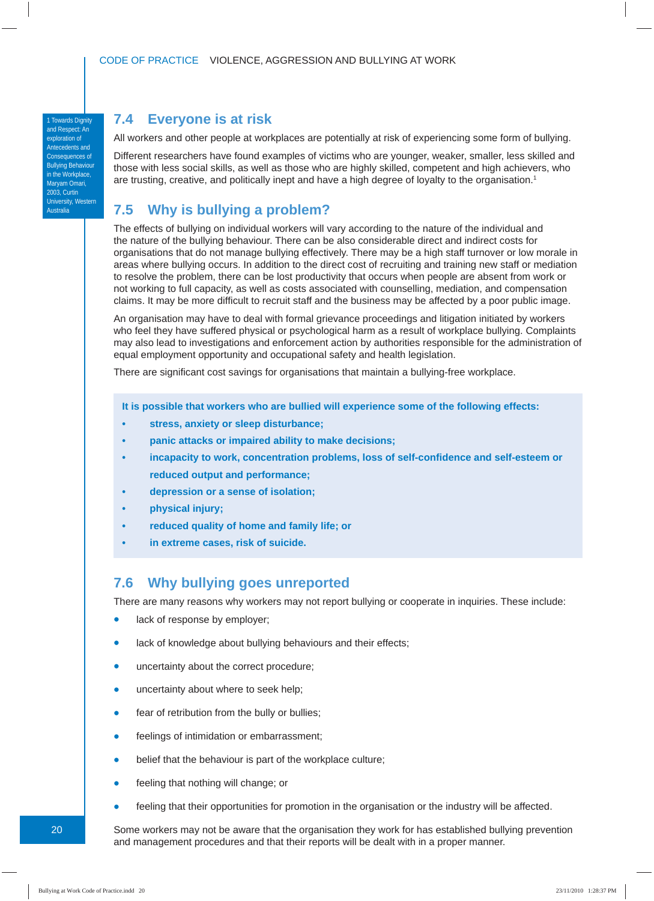#### **7.4 Everyone is at risk**

1 Towards Dignity and Respect: An exploration of Antecedents and Consequences of Bullying Behaviour in the Workplace, Maryam Omari, 2003, Curtin University, Western **Australia** 

All workers and other people at workplaces are potentially at risk of experiencing some form of bullying.

Different researchers have found examples of victims who are younger, weaker, smaller, less skilled and those with less social skills, as well as those who are highly skilled, competent and high achievers, who are trusting, creative, and politically inept and have a high degree of loyalty to the organisation.<sup>1</sup>

#### **7.5 Why is bullying a problem?**

The effects of bullying on individual workers will vary according to the nature of the individual and the nature of the bullying behaviour. There can be also considerable direct and indirect costs for organisations that do not manage bullying effectively. There may be a high staff turnover or low morale in areas where bullying occurs. In addition to the direct cost of recruiting and training new staff or mediation to resolve the problem, there can be lost productivity that occurs when people are absent from work or not working to full capacity, as well as costs associated with counselling, mediation, and compensation claims. It may be more difficult to recruit staff and the business may be affected by a poor public image.

An organisation may have to deal with formal grievance proceedings and litigation initiated by workers who feel they have suffered physical or psychological harm as a result of workplace bullying. Complaints may also lead to investigations and enforcement action by authorities responsible for the administration of equal employment opportunity and occupational safety and health legislation.

There are significant cost savings for organisations that maintain a bullying-free workplace.

**It is possible that workers who are bullied will experience some of the following effects:**

- **stress, anxiety or sleep disturbance;**
- **panic attacks or impaired ability to make decisions;**
- incapacity to work, concentration problems, loss of self-confidence and self-esteem or  **reduced output and performance;**
- **depression or a sense of isolation;**
- **physical injury;**
- **reduced quality of home and family life; or**
- **in extreme cases, risk of suicide.**

#### **7.6 Why bullying goes unreported**

There are many reasons why workers may not report bullying or cooperate in inquiries. These include:

- lack of response by employer;
- lack of knowledge about bullying behaviours and their effects;
- uncertainty about the correct procedure;
- **•** uncertainty about where to seek help;
- fear of retribution from the bully or bullies:
- feelings of intimidation or embarrassment;
- belief that the behaviour is part of the workplace culture;
- feeling that nothing will change; or
- feeling that their opportunities for promotion in the organisation or the industry will be affected.

Some workers may not be aware that the organisation they work for has established bullying prevention and management procedures and that their reports will be dealt with in a proper manner.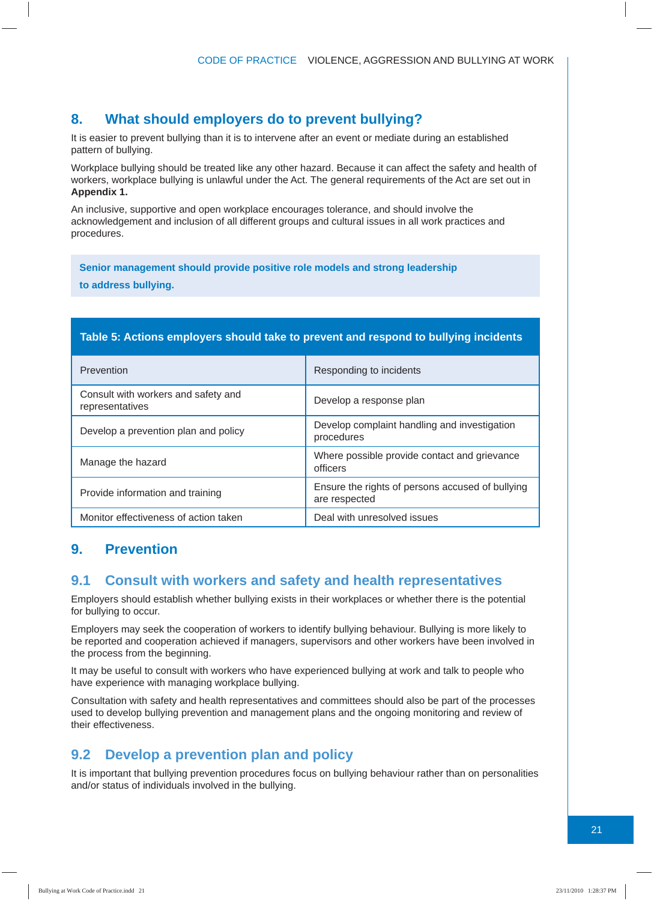#### **8. What should employers do to prevent bullying?**

It is easier to prevent bullying than it is to intervene after an event or mediate during an established pattern of bullying.

Workplace bullying should be treated like any other hazard. Because it can affect the safety and health of workers, workplace bullying is unlawful under the Act. The general requirements of the Act are set out in **Appendix 1.**

An inclusive, supportive and open workplace encourages tolerance, and should involve the acknowledgement and inclusion of all different groups and cultural issues in all work practices and procedures.

**Senior management should provide positive role models and strong leadership to address bullying.**

#### **Table 5: Actions employers should take to prevent and respond to bullying incidents**

| Prevention                                             | Responding to incidents                                           |
|--------------------------------------------------------|-------------------------------------------------------------------|
| Consult with workers and safety and<br>representatives | Develop a response plan                                           |
| Develop a prevention plan and policy                   | Develop complaint handling and investigation<br>procedures        |
| Manage the hazard                                      | Where possible provide contact and grievance<br>officers          |
| Provide information and training                       | Ensure the rights of persons accused of bullying<br>are respected |
| Monitor effectiveness of action taken                  | Deal with unresolved issues                                       |

#### **9. Prevention**

#### **9.1 Consult with workers and safety and health representatives**

Employers should establish whether bullying exists in their workplaces or whether there is the potential for bullying to occur.

Employers may seek the cooperation of workers to identify bullying behaviour. Bullying is more likely to be reported and cooperation achieved if managers, supervisors and other workers have been involved in the process from the beginning.

It may be useful to consult with workers who have experienced bullying at work and talk to people who have experience with managing workplace bullying.

Consultation with safety and health representatives and committees should also be part of the processes used to develop bullying prevention and management plans and the ongoing monitoring and review of their effectiveness.

#### **9.2 Develop a prevention plan and policy**

It is important that bullying prevention procedures focus on bullying behaviour rather than on personalities and/or status of individuals involved in the bullying.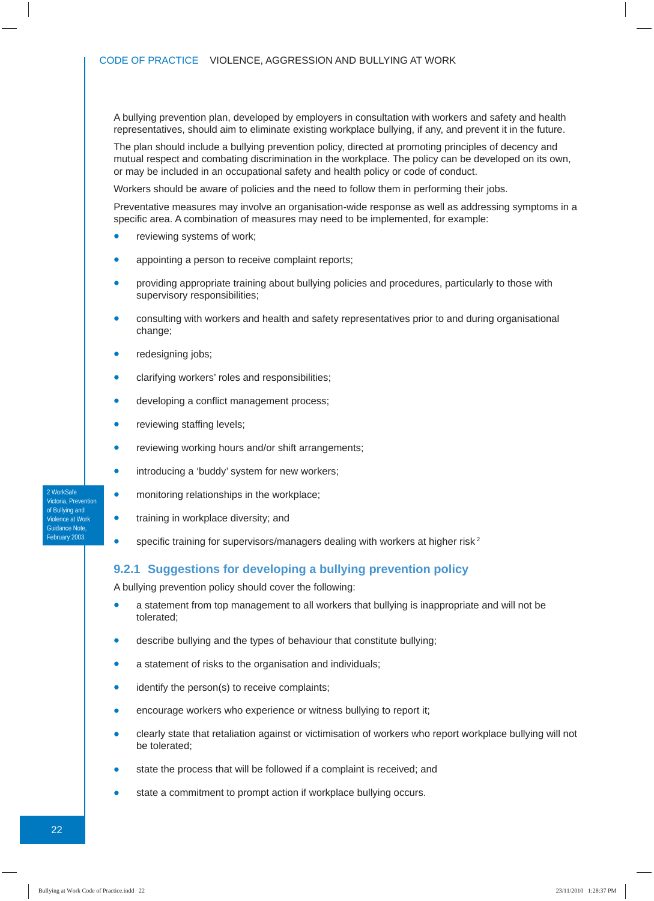A bullying prevention plan, developed by employers in consultation with workers and safety and health representatives, should aim to eliminate existing workplace bullying, if any, and prevent it in the future.

The plan should include a bullying prevention policy, directed at promoting principles of decency and mutual respect and combating discrimination in the workplace. The policy can be developed on its own, or may be included in an occupational safety and health policy or code of conduct.

Workers should be aware of policies and the need to follow them in performing their jobs.

Preventative measures may involve an organisation-wide response as well as addressing symptoms in a specific area. A combination of measures may need to be implemented, for example:

- reviewing systems of work:
- appointing a person to receive complaint reports;
- providing appropriate training about bullying policies and procedures, particularly to those with supervisory responsibilities;
- consulting with workers and health and safety representatives prior to and during organisational change;
- redesigning jobs;
- clarifying workers' roles and responsibilities;
- developing a conflict management process;
- reviewing staffing levels;
- reviewing working hours and/or shift arrangements;
- **•** introducing a 'buddy' system for new workers;
- monitoring relationships in the workplace;
- training in workplace diversity; and
- specific training for supervisors/managers dealing with workers at higher risk<sup>2</sup>

#### **9.2.1 Suggestions for developing a bullying prevention policy**

A bullying prevention policy should cover the following:

- a statement from top management to all workers that bullying is inappropriate and will not be tolerated;
- describe bullying and the types of behaviour that constitute bullying;
- a statement of risks to the organisation and individuals;
- identify the person(s) to receive complaints;
- encourage workers who experience or witness bullying to report it;
- clearly state that retaliation against or victimisation of workers who report workplace bullying will not be tolerated;
- state the process that will be followed if a complaint is received; and
- state a commitment to prompt action if workplace bullying occurs.

2 WorkSafe Victoria, Prevention of Bullying and Violence at Work Guidance Note, February 2003.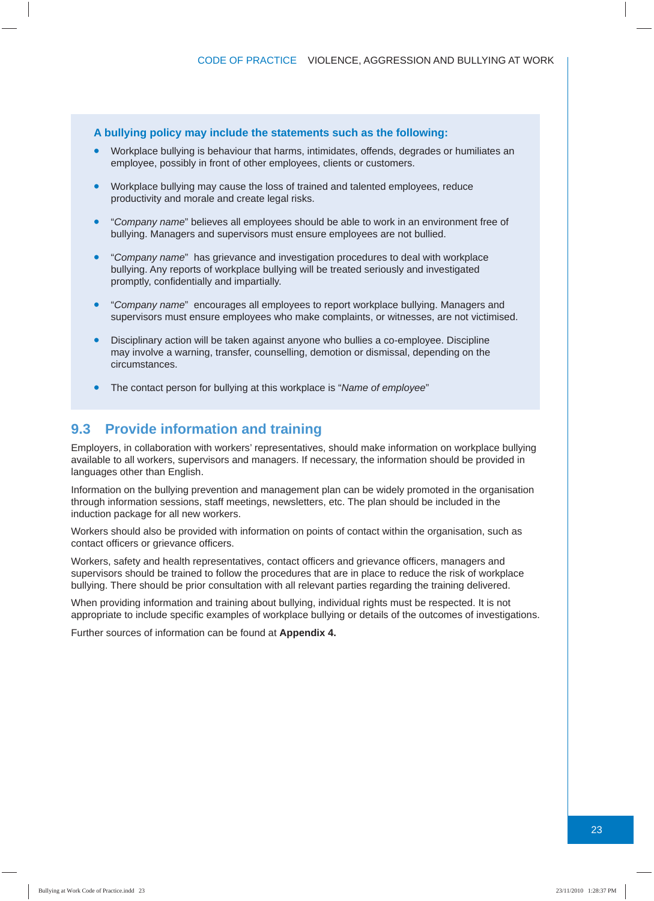#### **A bullying policy may include the statements such as the following:**

- Workplace bullying is behaviour that harms, intimidates, offends, degrades or humiliates an employee, possibly in front of other employees, clients or customers.
- Workplace bullying may cause the loss of trained and talented employees, reduce productivity and morale and create legal risks.
- "*Company name*" believes all employees should be able to work in an environment free of bullying. Managers and supervisors must ensure employees are not bullied.
- "*Company name*" has grievance and investigation procedures to deal with workplace bullying. Any reports of workplace bullying will be treated seriously and investigated promptly, confidentially and impartially.
- "*Company name*" encourages all employees to report workplace bullying. Managers and supervisors must ensure employees who make complaints, or witnesses, are not victimised.
- Disciplinary action will be taken against anyone who bullies a co-employee. Discipline may involve a warning, transfer, counselling, demotion or dismissal, depending on the circumstances.
- The contact person for bullying at this workplace is "*Name of employee*"

#### **9.3 Provide information and training**

Employers, in collaboration with workers' representatives, should make information on workplace bullying available to all workers, supervisors and managers. If necessary, the information should be provided in languages other than English.

Information on the bullying prevention and management plan can be widely promoted in the organisation through information sessions, staff meetings, newsletters, etc. The plan should be included in the induction package for all new workers.

Workers should also be provided with information on points of contact within the organisation, such as contact officers or grievance officers.

Workers, safety and health representatives, contact officers and grievance officers, managers and supervisors should be trained to follow the procedures that are in place to reduce the risk of workplace bullying. There should be prior consultation with all relevant parties regarding the training delivered.

When providing information and training about bullying, individual rights must be respected. It is not appropriate to include specific examples of workplace bullying or details of the outcomes of investigations.

Further sources of information can be found at **Appendix 4.**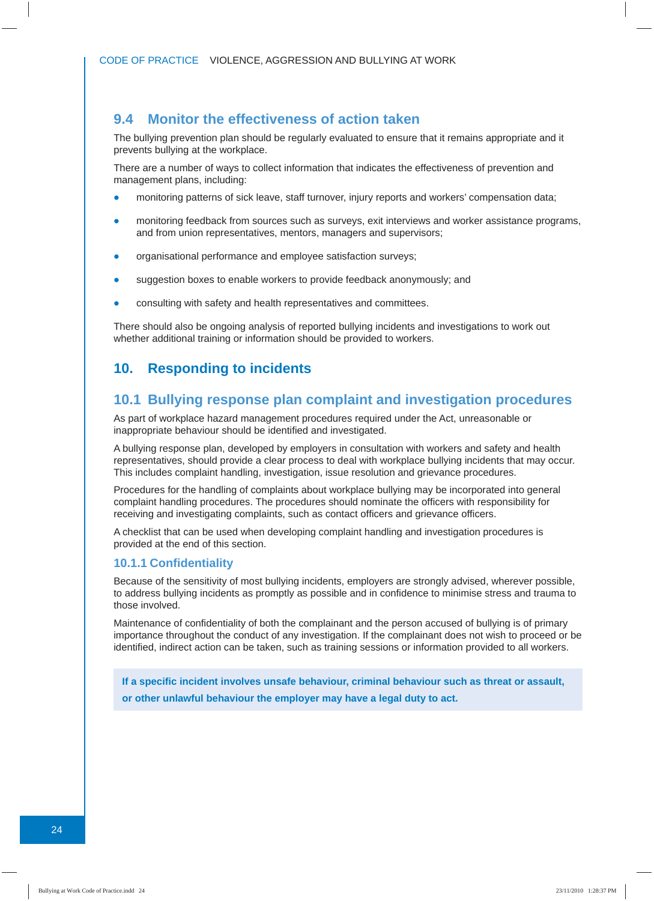#### **9.4 Monitor the effectiveness of action taken**

The bullying prevention plan should be regularly evaluated to ensure that it remains appropriate and it prevents bullying at the workplace.

There are a number of ways to collect information that indicates the effectiveness of prevention and management plans, including:

- monitoring patterns of sick leave, staff turnover, injury reports and workers' compensation data;
- monitoring feedback from sources such as surveys, exit interviews and worker assistance programs, and from union representatives, mentors, managers and supervisors;
- organisational performance and employee satisfaction surveys;
- suggestion boxes to enable workers to provide feedback anonymously; and
- consulting with safety and health representatives and committees.

There should also be ongoing analysis of reported bullying incidents and investigations to work out whether additional training or information should be provided to workers.

#### **10. Responding to incidents**

#### **10.1 Bullying response plan complaint and investigation procedures**

As part of workplace hazard management procedures required under the Act, unreasonable or inappropriate behaviour should be identified and investigated.

A bullying response plan, developed by employers in consultation with workers and safety and health representatives, should provide a clear process to deal with workplace bullying incidents that may occur. This includes complaint handling, investigation, issue resolution and grievance procedures.

Procedures for the handling of complaints about workplace bullying may be incorporated into general complaint handling procedures. The procedures should nominate the officers with responsibility for receiving and investigating complaints, such as contact officers and grievance officers.

A checklist that can be used when developing complaint handling and investigation procedures is provided at the end of this section.

#### **10.1.1 Confidentiality**

Because of the sensitivity of most bullying incidents, employers are strongly advised, wherever possible, to address bullying incidents as promptly as possible and in confidence to minimise stress and trauma to those involved.

Maintenance of confidentiality of both the complainant and the person accused of bullying is of primary importance throughout the conduct of any investigation. If the complainant does not wish to proceed or be identified, indirect action can be taken, such as training sessions or information provided to all workers.

**If a specifi c incident involves unsafe behaviour, criminal behaviour such as threat or assault, or other unlawful behaviour the employer may have a legal duty to act.**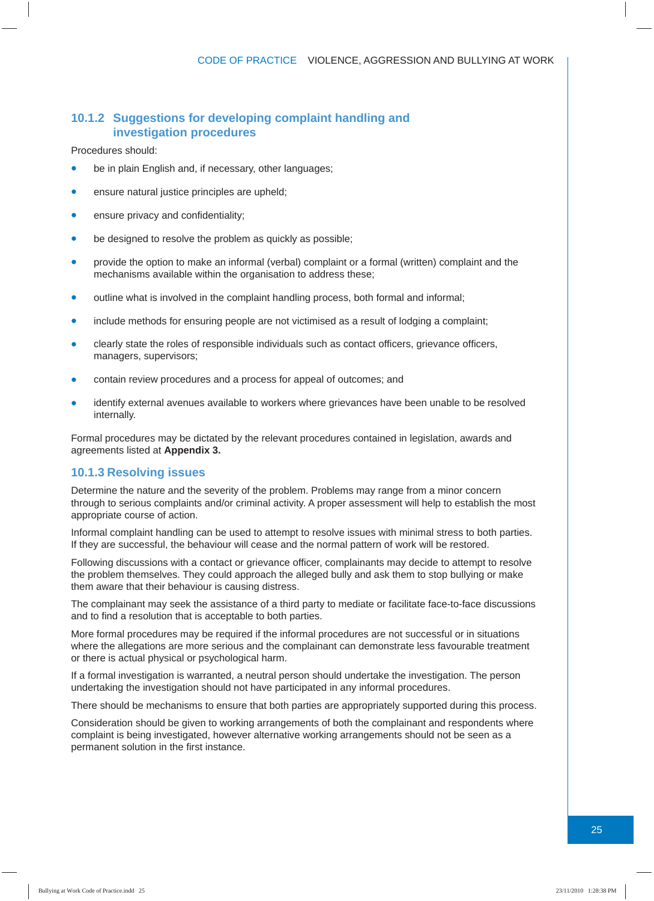#### **10.1.2 Suggestions for developing complaint handling and investigation procedures**

Procedures should:

- be in plain English and, if necessary, other languages;
- ensure natural justice principles are upheld;
- ensure privacy and confidentiality;
- be designed to resolve the problem as quickly as possible;
- provide the option to make an informal (verbal) complaint or a formal (written) complaint and the mechanisms available within the organisation to address these;
- outline what is involved in the complaint handling process, both formal and informal;
- include methods for ensuring people are not victimised as a result of lodging a complaint;
- clearly state the roles of responsible individuals such as contact officers, grievance officers, managers, supervisors;
- contain review procedures and a process for appeal of outcomes; and
- identify external avenues available to workers where grievances have been unable to be resolved internally.

Formal procedures may be dictated by the relevant procedures contained in legislation, awards and agreements listed at **Appendix 3.**

#### **10.1.3 Resolving issues**

Determine the nature and the severity of the problem. Problems may range from a minor concern through to serious complaints and/or criminal activity. A proper assessment will help to establish the most appropriate course of action.

Informal complaint handling can be used to attempt to resolve issues with minimal stress to both parties. If they are successful, the behaviour will cease and the normal pattern of work will be restored.

Following discussions with a contact or grievance officer, complainants may decide to attempt to resolve the problem themselves. They could approach the alleged bully and ask them to stop bullying or make them aware that their behaviour is causing distress.

The complainant may seek the assistance of a third party to mediate or facilitate face-to-face discussions and to find a resolution that is acceptable to both parties.

More formal procedures may be required if the informal procedures are not successful or in situations where the allegations are more serious and the complainant can demonstrate less favourable treatment or there is actual physical or psychological harm.

If a formal investigation is warranted, a neutral person should undertake the investigation. The person undertaking the investigation should not have participated in any informal procedures.

There should be mechanisms to ensure that both parties are appropriately supported during this process.

Consideration should be given to working arrangements of both the complainant and respondents where complaint is being investigated, however alternative working arrangements should not be seen as a permanent solution in the first instance.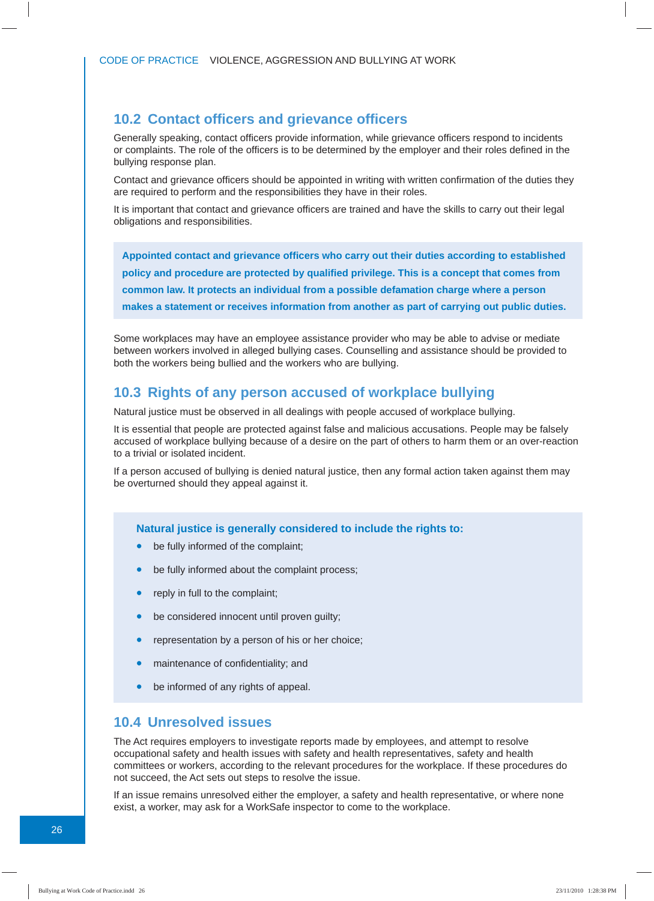#### **10.2 Contact offi cers and grievance offi cers**

Generally speaking, contact officers provide information, while grievance officers respond to incidents or complaints. The role of the officers is to be determined by the employer and their roles defined in the bullying response plan.

Contact and grievance officers should be appointed in writing with written confirmation of the duties they are required to perform and the responsibilities they have in their roles.

It is important that contact and grievance officers are trained and have the skills to carry out their legal obligations and responsibilities.

**Appointed contact and grievance offi cers who carry out their duties according to established policy and procedure are protected by qualifi ed privilege. This is a concept that comes from common law. It protects an individual from a possible defamation charge where a person makes a statement or receives information from another as part of carrying out public duties.** 

Some workplaces may have an employee assistance provider who may be able to advise or mediate between workers involved in alleged bullying cases. Counselling and assistance should be provided to both the workers being bullied and the workers who are bullying.

#### **10.3 Rights of any person accused of workplace bullying**

Natural justice must be observed in all dealings with people accused of workplace bullying.

It is essential that people are protected against false and malicious accusations. People may be falsely accused of workplace bullying because of a desire on the part of others to harm them or an over-reaction to a trivial or isolated incident.

If a person accused of bullying is denied natural justice, then any formal action taken against them may be overturned should they appeal against it.

**Natural justice is generally considered to include the rights to:**

- be fully informed of the complaint;
- be fully informed about the complaint process;
- reply in full to the complaint;
- be considered innocent until proven guilty;
- representation by a person of his or her choice:
- maintenance of confidentiality; and
- be informed of any rights of appeal.

#### **10.4 Unresolved issues**

The Act requires employers to investigate reports made by employees, and attempt to resolve occupational safety and health issues with safety and health representatives, safety and health committees or workers, according to the relevant procedures for the workplace. If these procedures do not succeed, the Act sets out steps to resolve the issue.

If an issue remains unresolved either the employer, a safety and health representative, or where none exist, a worker, may ask for a WorkSafe inspector to come to the workplace.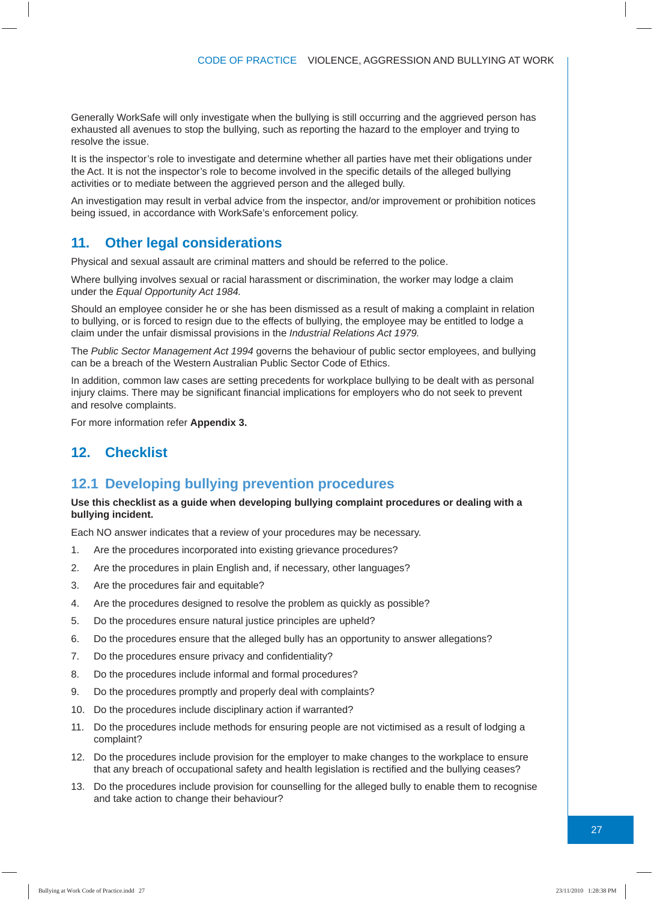Generally WorkSafe will only investigate when the bullying is still occurring and the aggrieved person has exhausted all avenues to stop the bullying, such as reporting the hazard to the employer and trying to resolve the issue.

It is the inspector's role to investigate and determine whether all parties have met their obligations under the Act. It is not the inspector's role to become involved in the specific details of the alleged bullying activities or to mediate between the aggrieved person and the alleged bully.

An investigation may result in verbal advice from the inspector, and/or improvement or prohibition notices being issued, in accordance with WorkSafe's enforcement policy.

#### **11. Other legal considerations**

Physical and sexual assault are criminal matters and should be referred to the police.

Where bullying involves sexual or racial harassment or discrimination, the worker may lodge a claim under the *Equal Opportunity Act 1984.*

Should an employee consider he or she has been dismissed as a result of making a complaint in relation to bullying, or is forced to resign due to the effects of bullying, the employee may be entitled to lodge a claim under the unfair dismissal provisions in the *Industrial Relations Act 1979.* 

The *Public Sector Management Act 1994* governs the behaviour of public sector employees, and bullying can be a breach of the Western Australian Public Sector Code of Ethics.

In addition, common law cases are setting precedents for workplace bullying to be dealt with as personal injury claims. There may be significant financial implications for employers who do not seek to prevent and resolve complaints.

For more information refer **Appendix 3.**

#### **12. Checklist**

#### **12.1 Developing bullying prevention procedures**

#### **Use this checklist as a guide when developing bullying complaint procedures or dealing with a bullying incident.**

Each NO answer indicates that a review of your procedures may be necessary.

- 1. Are the procedures incorporated into existing grievance procedures?
- 2. Are the procedures in plain English and, if necessary, other languages?
- 3. Are the procedures fair and equitable?
- 4. Are the procedures designed to resolve the problem as quickly as possible?
- 5. Do the procedures ensure natural justice principles are upheld?
- 6. Do the procedures ensure that the alleged bully has an opportunity to answer allegations?
- 7. Do the procedures ensure privacy and confidentiality?
- 8. Do the procedures include informal and formal procedures?
- 9. Do the procedures promptly and properly deal with complaints?
- 10. Do the procedures include disciplinary action if warranted?
- 11. Do the procedures include methods for ensuring people are not victimised as a result of lodging a complaint?
- 12. Do the procedures include provision for the employer to make changes to the workplace to ensure that any breach of occupational safety and health legislation is rectified and the bullying ceases?
- 13. Do the procedures include provision for counselling for the alleged bully to enable them to recognise and take action to change their behaviour?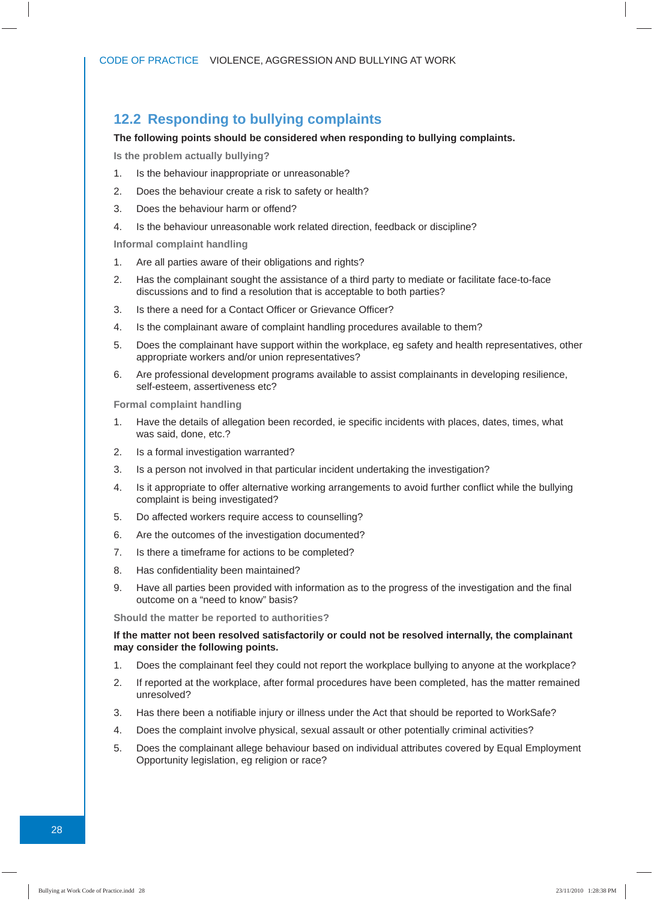#### **12.2 Responding to bullying complaints**

#### **The following points should be considered when responding to bullying complaints.**

**Is the problem actually bullying?**

- 1. Is the behaviour inappropriate or unreasonable?
- 2. Does the behaviour create a risk to safety or health?
- 3. Does the behaviour harm or offend?
- 4. Is the behaviour unreasonable work related direction, feedback or discipline?

**Informal complaint handling**

- 1. Are all parties aware of their obligations and rights?
- 2. Has the complainant sought the assistance of a third party to mediate or facilitate face-to-face discussions and to find a resolution that is acceptable to both parties?
- 3. Is there a need for a Contact Officer or Grievance Officer?
- 4. Is the complainant aware of complaint handling procedures available to them?
- 5. Does the complainant have support within the workplace, eg safety and health representatives, other appropriate workers and/or union representatives?
- 6. Are professional development programs available to assist complainants in developing resilience, self-esteem, assertiveness etc?

**Formal complaint handling**

- 1. Have the details of allegation been recorded, ie specific incidents with places, dates, times, what was said, done, etc.?
- 2. Is a formal investigation warranted?
- 3. Is a person not involved in that particular incident undertaking the investigation?
- 4. Is it appropriate to offer alternative working arrangements to avoid further conflict while the bullying complaint is being investigated?
- 5. Do affected workers require access to counselling?
- 6. Are the outcomes of the investigation documented?
- 7. Is there a timeframe for actions to be completed?
- 8. Has confidentiality been maintained?
- 9. Have all parties been provided with information as to the progress of the investigation and the final outcome on a "need to know" basis?

**Should the matter be reported to authorities?** 

#### **If the matter not been resolved satisfactorily or could not be resolved internally, the complainant may consider the following points.**

- 1. Does the complainant feel they could not report the workplace bullying to anyone at the workplace?
- 2. If reported at the workplace, after formal procedures have been completed, has the matter remained unresolved?
- 3. Has there been a notifiable injury or illness under the Act that should be reported to WorkSafe?
- 4. Does the complaint involve physical, sexual assault or other potentially criminal activities?
- 5. Does the complainant allege behaviour based on individual attributes covered by Equal Employment Opportunity legislation, eg religion or race?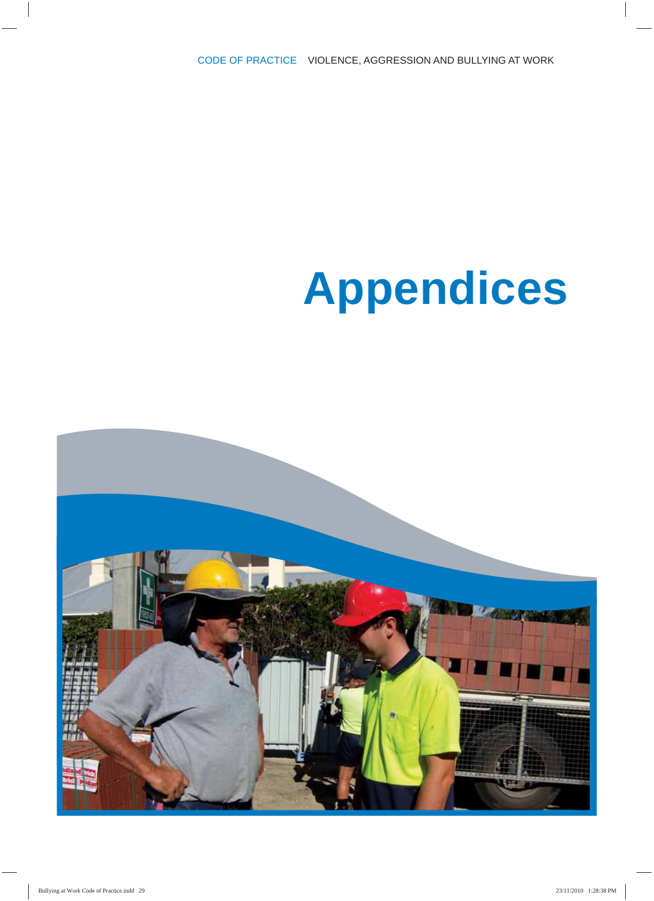# **Appendices**

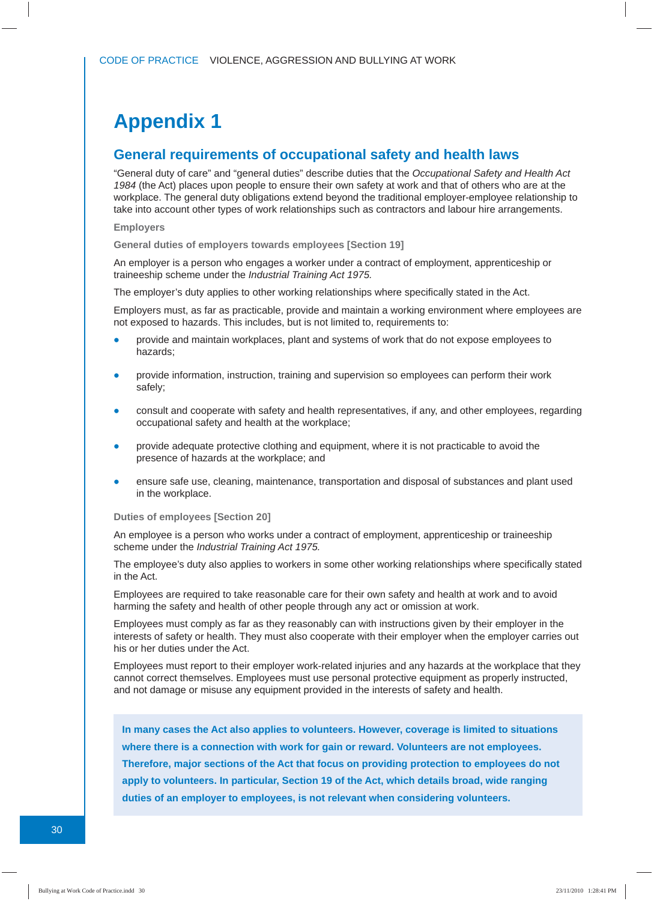### **Appendix 1**

#### **General requirements of occupational safety and health laws**

"General duty of care" and "general duties" describe duties that the *Occupational Safety and Health Act 1984* (the Act) places upon people to ensure their own safety at work and that of others who are at the workplace. The general duty obligations extend beyond the traditional employer-employee relationship to take into account other types of work relationships such as contractors and labour hire arrangements.

#### **Employers**

**General duties of employers towards employees [Section 19]**

An employer is a person who engages a worker under a contract of employment, apprenticeship or traineeship scheme under the *Industrial Training Act 1975.*

The employer's duty applies to other working relationships where specifically stated in the Act.

Employers must, as far as practicable, provide and maintain a working environment where employees are not exposed to hazards. This includes, but is not limited to, requirements to:

- provide and maintain workplaces, plant and systems of work that do not expose employees to hazards;
- provide information, instruction, training and supervision so employees can perform their work safely;
- consult and cooperate with safety and health representatives, if any, and other employees, regarding occupational safety and health at the workplace;
- provide adequate protective clothing and equipment, where it is not practicable to avoid the presence of hazards at the workplace; and
- ensure safe use, cleaning, maintenance, transportation and disposal of substances and plant used in the workplace.

#### **Duties of employees [Section 20]**

An employee is a person who works under a contract of employment, apprenticeship or traineeship scheme under the *Industrial Training Act 1975.*

The employee's duty also applies to workers in some other working relationships where specifically stated in the Act.

Employees are required to take reasonable care for their own safety and health at work and to avoid harming the safety and health of other people through any act or omission at work.

Employees must comply as far as they reasonably can with instructions given by their employer in the interests of safety or health. They must also cooperate with their employer when the employer carries out his or her duties under the Act.

Employees must report to their employer work-related injuries and any hazards at the workplace that they cannot correct themselves. Employees must use personal protective equipment as properly instructed, and not damage or misuse any equipment provided in the interests of safety and health.

**In many cases the Act also applies to volunteers. However, coverage is limited to situations where there is a connection with work for gain or reward. Volunteers are not employees. Therefore, major sections of the Act that focus on providing protection to employees do not apply to volunteers. In particular, Section 19 of the Act, which details broad, wide ranging duties of an employer to employees, is not relevant when considering volunteers.**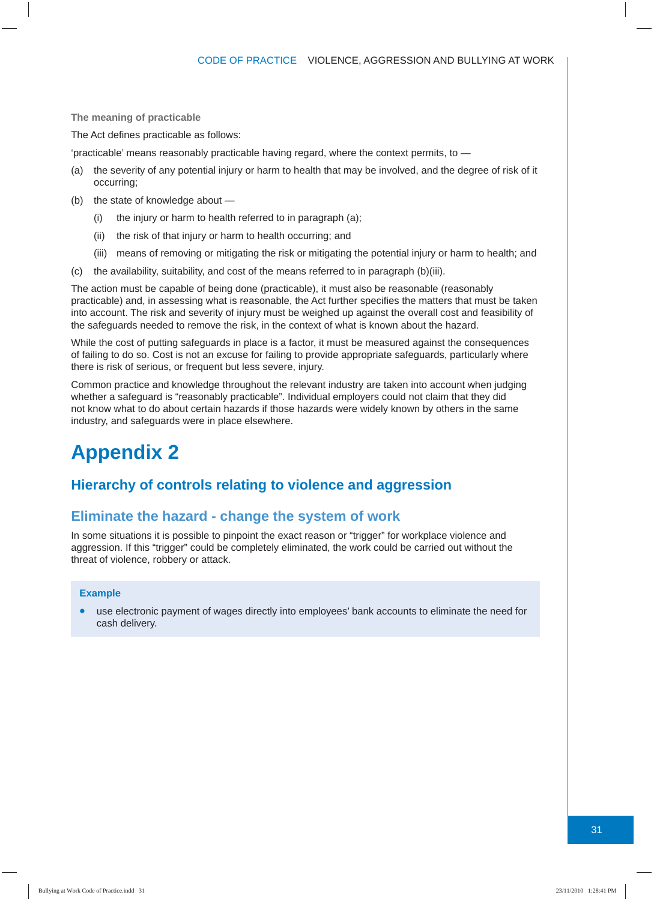**The meaning of practicable**

The Act defines practicable as follows:

'practicable' means reasonably practicable having regard, where the context permits, to —

- (a) the severity of any potential injury or harm to health that may be involved, and the degree of risk of it occurring;
- (b) the state of knowledge about
	- (i) the injury or harm to health referred to in paragraph (a);
	- (ii) the risk of that injury or harm to health occurring; and
	- (iii) means of removing or mitigating the risk or mitigating the potential injury or harm to health; and
- (c) the availability, suitability, and cost of the means referred to in paragraph (b)(iii).

The action must be capable of being done (practicable), it must also be reasonable (reasonably practicable) and, in assessing what is reasonable, the Act further specifies the matters that must be taken into account. The risk and severity of injury must be weighed up against the overall cost and feasibility of the safeguards needed to remove the risk, in the context of what is known about the hazard.

While the cost of putting safeguards in place is a factor, it must be measured against the consequences of failing to do so. Cost is not an excuse for failing to provide appropriate safeguards, particularly where there is risk of serious, or frequent but less severe, injury.

Common practice and knowledge throughout the relevant industry are taken into account when judging whether a safeguard is "reasonably practicable". Individual employers could not claim that they did not know what to do about certain hazards if those hazards were widely known by others in the same industry, and safeguards were in place elsewhere.

### **Appendix 2**

#### **Hierarchy of controls relating to violence and aggression**

#### **Eliminate the hazard - change the system of work**

In some situations it is possible to pinpoint the exact reason or "trigger" for workplace violence and aggression. If this "trigger" could be completely eliminated, the work could be carried out without the threat of violence, robbery or attack.

#### **Example**

• use electronic payment of wages directly into employees' bank accounts to eliminate the need for cash delivery.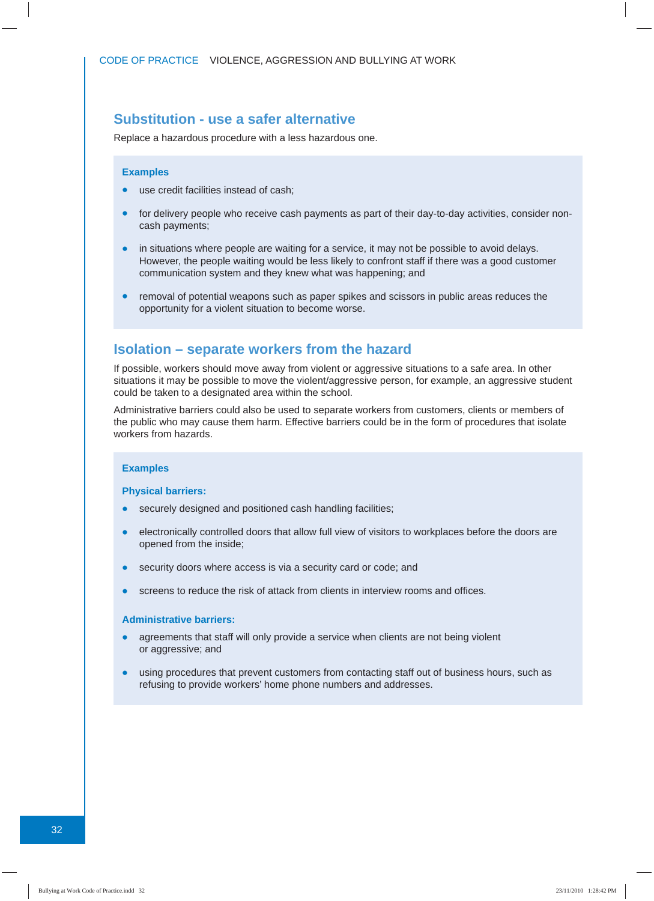#### **Substitution - use a safer alternative**

Replace a hazardous procedure with a less hazardous one.

#### **Examples**

- use credit facilities instead of cash;
- for delivery people who receive cash payments as part of their day-to-day activities, consider noncash payments;
- in situations where people are waiting for a service, it may not be possible to avoid delays. However, the people waiting would be less likely to confront staff if there was a good customer communication system and they knew what was happening; and
- removal of potential weapons such as paper spikes and scissors in public areas reduces the opportunity for a violent situation to become worse.

#### **Isolation – separate workers from the hazard**

If possible, workers should move away from violent or aggressive situations to a safe area. In other situations it may be possible to move the violent/aggressive person, for example, an aggressive student could be taken to a designated area within the school.

Administrative barriers could also be used to separate workers from customers, clients or members of the public who may cause them harm. Effective barriers could be in the form of procedures that isolate workers from hazards.

#### **Examples**

#### **Physical barriers:**

- securely designed and positioned cash handling facilities;
- electronically controlled doors that allow full view of visitors to workplaces before the doors are opened from the inside;
- security doors where access is via a security card or code; and
- screens to reduce the risk of attack from clients in interview rooms and offices.

#### **Administrative barriers:**

- agreements that staff will only provide a service when clients are not being violent or aggressive; and
- using procedures that prevent customers from contacting staff out of business hours, such as refusing to provide workers' home phone numbers and addresses.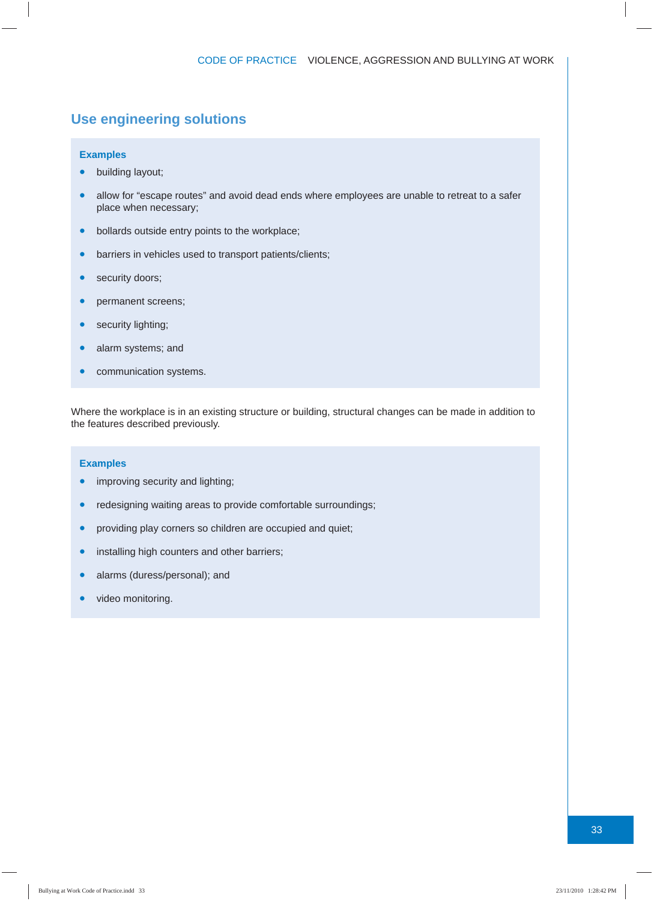#### **Use engineering solutions**

#### **Examples**

- building layout;
- allow for "escape routes" and avoid dead ends where employees are unable to retreat to a safer place when necessary;
- bollards outside entry points to the workplace;
- barriers in vehicles used to transport patients/clients;
- security doors;
- permanent screens;
- security lighting;
- alarm systems; and
- communication systems.

Where the workplace is in an existing structure or building, structural changes can be made in addition to the features described previously.

#### **Examples**

- improving security and lighting;
- redesigning waiting areas to provide comfortable surroundings;
- providing play corners so children are occupied and quiet;
- installing high counters and other barriers;
- alarms (duress/personal); and
- video monitoring.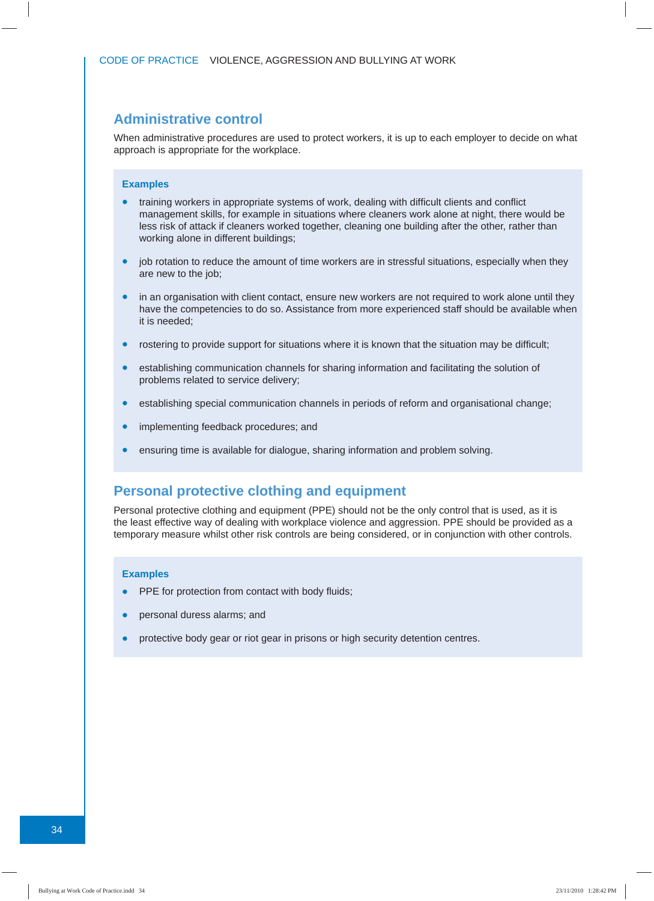#### **Administrative control**

When administrative procedures are used to protect workers, it is up to each employer to decide on what approach is appropriate for the workplace.

#### **Examples**

- training workers in appropriate systems of work, dealing with difficult clients and conflict management skills, for example in situations where cleaners work alone at night, there would be less risk of attack if cleaners worked together, cleaning one building after the other, rather than working alone in different buildings;
- job rotation to reduce the amount of time workers are in stressful situations, especially when they are new to the job;
- in an organisation with client contact, ensure new workers are not required to work alone until they have the competencies to do so. Assistance from more experienced staff should be available when it is needed;
- rostering to provide support for situations where it is known that the situation may be difficult;
- establishing communication channels for sharing information and facilitating the solution of problems related to service delivery;
- establishing special communication channels in periods of reform and organisational change;
- implementing feedback procedures; and
- ensuring time is available for dialogue, sharing information and problem solving.

#### **Personal protective clothing and equipment**

Personal protective clothing and equipment (PPE) should not be the only control that is used, as it is the least effective way of dealing with workplace violence and aggression. PPE should be provided as a temporary measure whilst other risk controls are being considered, or in conjunction with other controls.

#### **Examples**

- PPE for protection from contact with body fluids;
- personal duress alarms; and
- protective body gear or riot gear in prisons or high security detention centres.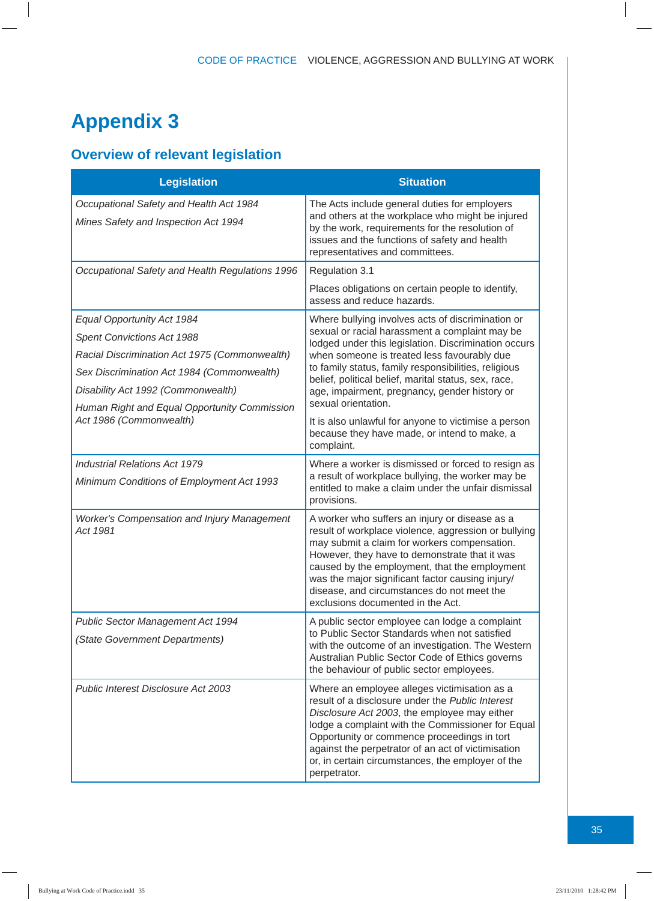### **Appendix 3**

### **Overview of relevant legislation**

| <b>Legislation</b>                                                                                                                                                                                                                                   | <b>Situation</b>                                                                                                                                                                                                                                                                                                                                                                                   |
|------------------------------------------------------------------------------------------------------------------------------------------------------------------------------------------------------------------------------------------------------|----------------------------------------------------------------------------------------------------------------------------------------------------------------------------------------------------------------------------------------------------------------------------------------------------------------------------------------------------------------------------------------------------|
| Occupational Safety and Health Act 1984<br>Mines Safety and Inspection Act 1994                                                                                                                                                                      | The Acts include general duties for employers<br>and others at the workplace who might be injured<br>by the work, requirements for the resolution of<br>issues and the functions of safety and health<br>representatives and committees.                                                                                                                                                           |
| Occupational Safety and Health Regulations 1996                                                                                                                                                                                                      | Regulation 3.1                                                                                                                                                                                                                                                                                                                                                                                     |
|                                                                                                                                                                                                                                                      | Places obligations on certain people to identify,<br>assess and reduce hazards.                                                                                                                                                                                                                                                                                                                    |
| Equal Opportunity Act 1984<br><b>Spent Convictions Act 1988</b><br>Racial Discrimination Act 1975 (Commonwealth)<br>Sex Discrimination Act 1984 (Commonwealth)<br>Disability Act 1992 (Commonwealth)<br>Human Right and Equal Opportunity Commission | Where bullying involves acts of discrimination or<br>sexual or racial harassment a complaint may be<br>lodged under this legislation. Discrimination occurs<br>when someone is treated less favourably due<br>to family status, family responsibilities, religious<br>belief, political belief, marital status, sex, race,<br>age, impairment, pregnancy, gender history or<br>sexual orientation. |
| Act 1986 (Commonwealth)                                                                                                                                                                                                                              | It is also unlawful for anyone to victimise a person<br>because they have made, or intend to make, a<br>complaint.                                                                                                                                                                                                                                                                                 |
| <b>Industrial Relations Act 1979</b><br>Minimum Conditions of Employment Act 1993                                                                                                                                                                    | Where a worker is dismissed or forced to resign as<br>a result of workplace bullying, the worker may be<br>entitled to make a claim under the unfair dismissal<br>provisions.                                                                                                                                                                                                                      |
| Worker's Compensation and Injury Management<br>Act 1981                                                                                                                                                                                              | A worker who suffers an injury or disease as a<br>result of workplace violence, aggression or bullying<br>may submit a claim for workers compensation.<br>However, they have to demonstrate that it was<br>caused by the employment, that the employment<br>was the major significant factor causing injury/<br>disease, and circumstances do not meet the<br>exclusions documented in the Act.    |
| Public Sector Management Act 1994<br>(State Government Departments)                                                                                                                                                                                  | A public sector employee can lodge a complaint<br>to Public Sector Standards when not satisfied<br>with the outcome of an investigation. The Western<br>Australian Public Sector Code of Ethics governs<br>the behaviour of public sector employees.                                                                                                                                               |
| Public Interest Disclosure Act 2003                                                                                                                                                                                                                  | Where an employee alleges victimisation as a<br>result of a disclosure under the Public Interest<br>Disclosure Act 2003, the employee may either<br>lodge a complaint with the Commissioner for Equal<br>Opportunity or commence proceedings in tort<br>against the perpetrator of an act of victimisation<br>or, in certain circumstances, the employer of the<br>perpetrator.                    |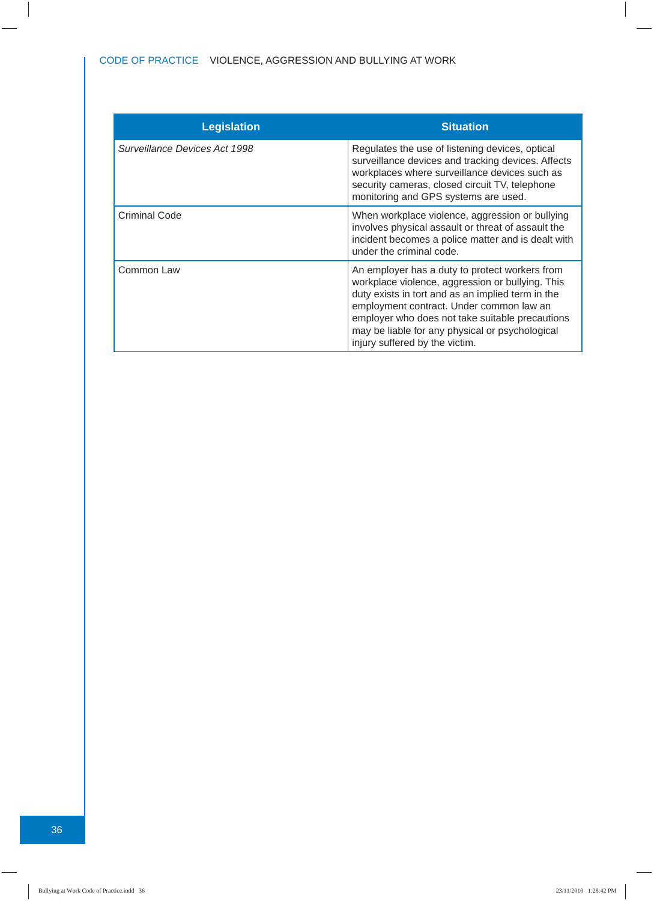| <b>Legislation</b>            | <b>Situation</b>                                                                                                                                                                                                                                                                                                                            |
|-------------------------------|---------------------------------------------------------------------------------------------------------------------------------------------------------------------------------------------------------------------------------------------------------------------------------------------------------------------------------------------|
| Surveillance Devices Act 1998 | Regulates the use of listening devices, optical<br>surveillance devices and tracking devices. Affects<br>workplaces where surveillance devices such as<br>security cameras, closed circuit TV, telephone<br>monitoring and GPS systems are used.                                                                                            |
| Criminal Code                 | When workplace violence, aggression or bullying<br>involves physical assault or threat of assault the<br>incident becomes a police matter and is dealt with<br>under the criminal code.                                                                                                                                                     |
| Common Law                    | An employer has a duty to protect workers from<br>workplace violence, aggression or bullying. This<br>duty exists in tort and as an implied term in the<br>employment contract. Under common law an<br>employer who does not take suitable precautions<br>may be liable for any physical or psychological<br>injury suffered by the victim. |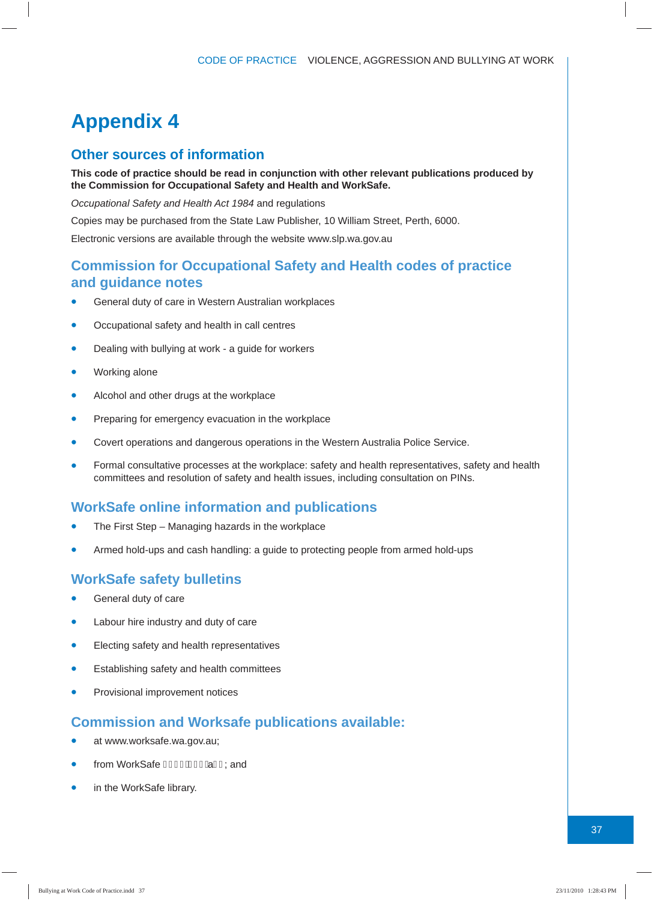### **Appendix 4**

#### **Other sources of information**

**This code of practice should be read in conjunction with other relevant publications produced by the Commission for Occupational Safety and Health and WorkSafe.**

*Occupational Safety and Health Act 1984* and regulations

Copies may be purchased from the State Law Publisher, 10 William Street, Perth, 6000.

Electronic versions are available through the website www.slp.wa.gov.au

#### **Commission for Occupational Safety and Health codes of practice and guidance notes**

- General duty of care in Western Australian workplaces
- Occupational safety and health in call centres
- Dealing with bullying at work a guide for workers
- Working alone
- Alcohol and other drugs at the workplace
- Preparing for emergency evacuation in the workplace
- Covert operations and dangerous operations in the Western Australia Police Service.
- Formal consultative processes at the workplace: safety and health representatives, safety and health committees and resolution of safety and health issues, including consultation on PINs.

#### **WorkSafe online information and publications**

- The First Step Managing hazards in the workplace
- Armed hold-ups and cash handling: a guide to protecting people from armed hold-ups

#### **WorkSafe safety bulletins**

- General duty of care
- Labour hire industry and duty of care
- **•** Electing safety and health representatives
- Establishing safety and health committees
- Provisional improvement notices

#### **Commission and Worksafe publications available:**

- at www.worksafe.wa.gov.au;
- from WorkSafe FHEEAHE A I I ; and
- in the WorkSafe library.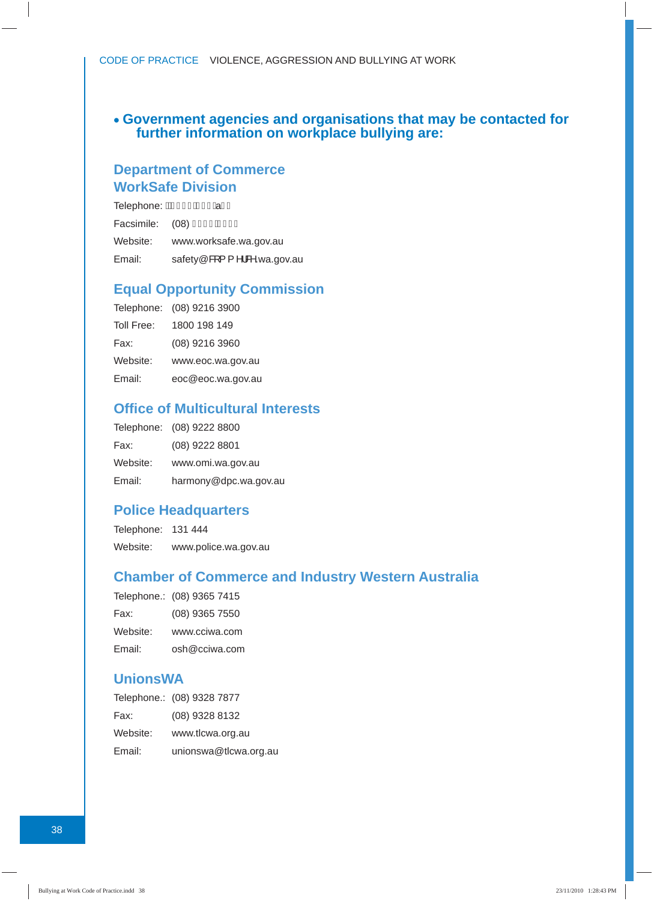#### **• Government agencies and organisations that may be contacted for further information on workplace bullying are:**

#### **Department of Commerce WorkSafe Division**

Telephone: <del>ÁFH∈€Á IC</del>Ï Â Ï Ï Facsimile: (08) Î CÍ FÁGÌ GI Website: www.worksafe.wa.gov.au Email: safety@&[{ ^ \&^.wa.gov.au

#### **Equal Opportunity Commission**

|            | Telephone: (08) 9216 3900 |
|------------|---------------------------|
| Toll Free: | 1800 198 149              |
| Fax:       | (08) 9216 3960            |
| Website:   | www.eoc.wa.gov.au         |
| Email:     | eoc@eoc.wa.gov.au         |

#### **Offi ce of Multicultural Interests**

|          | Telephone: (08) 9222 8800 |
|----------|---------------------------|
| Fax:     | (08) 9222 8801            |
| Website: | www.omi.wa.gov.au         |
| Email:   | harmony@dpc.wa.gov.au     |

#### **Police Headquarters**

Telephone: 131 444 Website: www.police.wa.gov.au

#### **Chamber of Commerce and Industry Western Australia**

|          | Telephone.: (08) 9365 7415 |
|----------|----------------------------|
| Fax:     | (08) 9365 7550             |
| Website: | www.cciwa.com              |
| Email:   | osh@cciwa.com              |

#### **UnionsWA**

|          | Telephone.: (08) 9328 7877 |
|----------|----------------------------|
| Fax:     | (08) 9328 8132             |
| Website: | www.tlcwa.org.au           |
| Email:   | unionswa@tlcwa.org.au      |